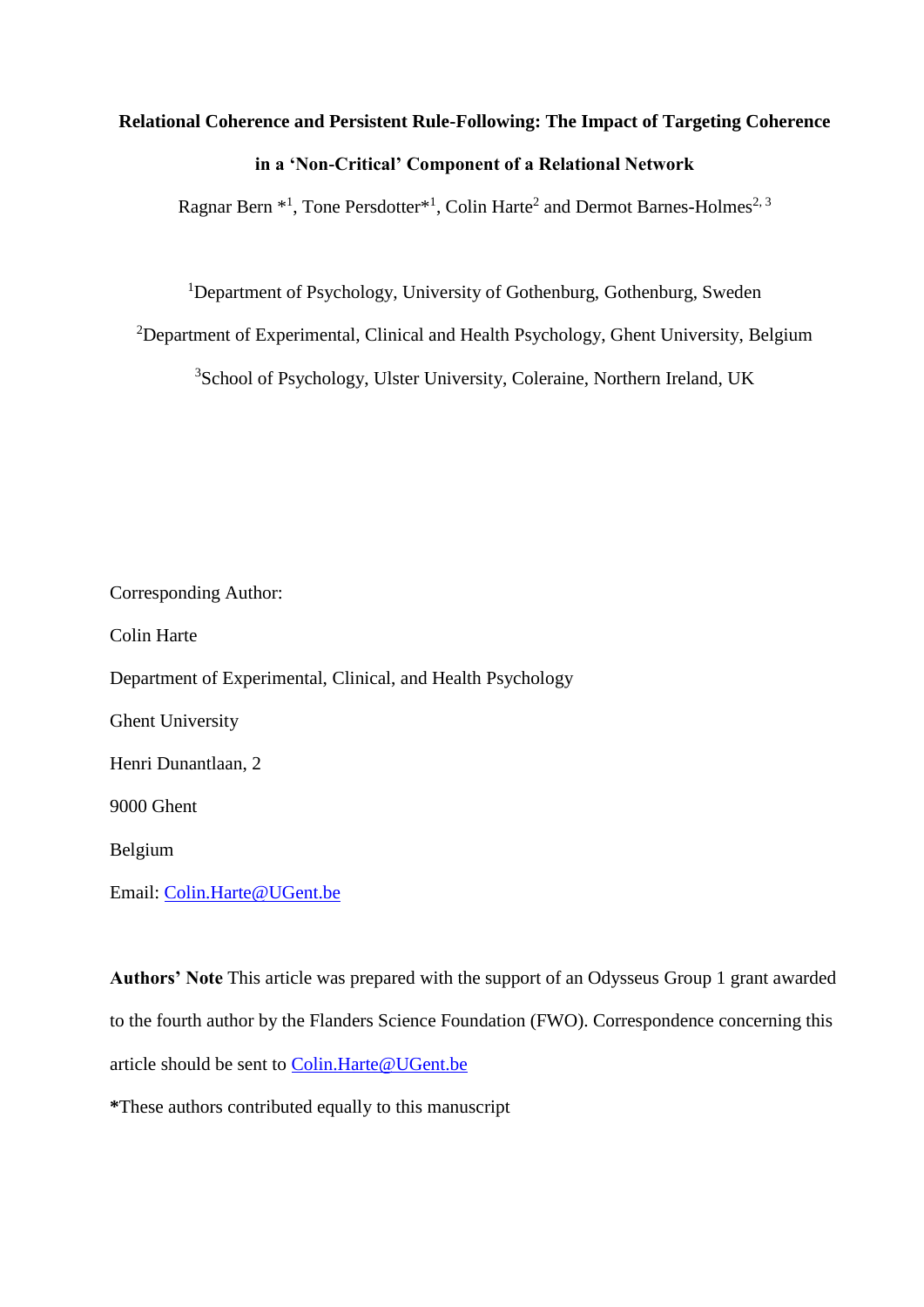# **Relational Coherence and Persistent Rule-Following: The Impact of Targeting Coherence in a 'Non-Critical' Component of a Relational Network**

Ragnar Bern \*<sup>1</sup>, Tone Persdotter<sup>\*1</sup>, Colin Harte<sup>2</sup> and Dermot Barnes-Holmes<sup>2, 3</sup>

<sup>1</sup>Department of Psychology, University of Gothenburg, Gothenburg, Sweden

<sup>2</sup>Department of Experimental, Clinical and Health Psychology, Ghent University, Belgium

<sup>3</sup>School of Psychology, Ulster University, Coleraine, Northern Ireland, UK

Corresponding Author: Colin Harte Department of Experimental, Clinical, and Health Psychology Ghent University Henri Dunantlaan, 2 9000 Ghent Belgium

Email: [Colin.Harte@UGent.be](mailto:Colin.Harte@UGent.be)

**Authors' Note** This article was prepared with the support of an Odysseus Group 1 grant awarded to the fourth author by the Flanders Science Foundation (FWO). Correspondence concerning this article should be sent to [Colin.Harte@UGent.be](mailto:Colin.Harte@UGent.be)

**\***These authors contributed equally to this manuscript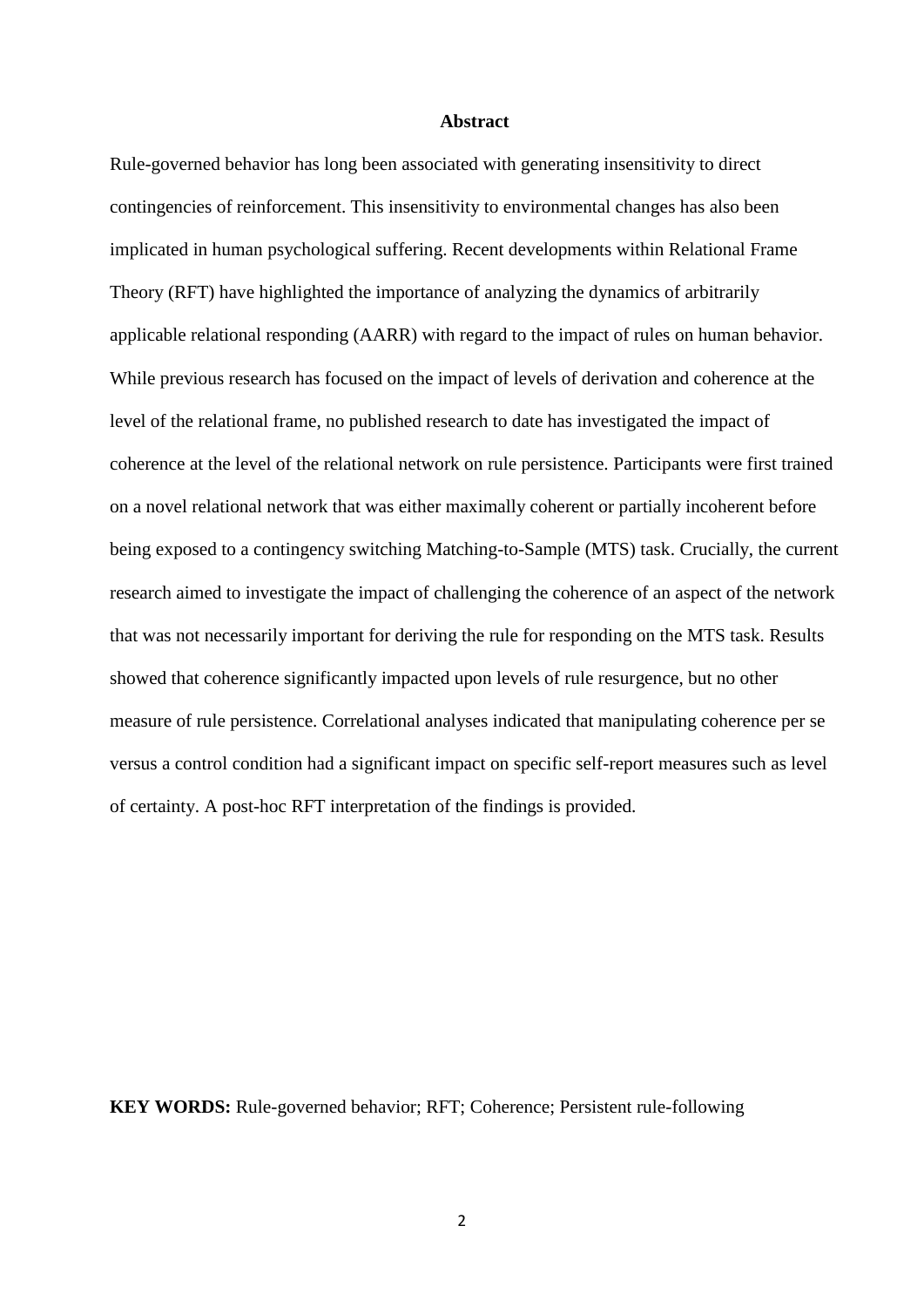## **Abstract**

Rule-governed behavior has long been associated with generating insensitivity to direct contingencies of reinforcement. This insensitivity to environmental changes has also been implicated in human psychological suffering. Recent developments within Relational Frame Theory (RFT) have highlighted the importance of analyzing the dynamics of arbitrarily applicable relational responding (AARR) with regard to the impact of rules on human behavior. While previous research has focused on the impact of levels of derivation and coherence at the level of the relational frame, no published research to date has investigated the impact of coherence at the level of the relational network on rule persistence. Participants were first trained on a novel relational network that was either maximally coherent or partially incoherent before being exposed to a contingency switching Matching-to-Sample (MTS) task. Crucially, the current research aimed to investigate the impact of challenging the coherence of an aspect of the network that was not necessarily important for deriving the rule for responding on the MTS task. Results showed that coherence significantly impacted upon levels of rule resurgence, but no other measure of rule persistence. Correlational analyses indicated that manipulating coherence per se versus a control condition had a significant impact on specific self-report measures such as level of certainty. A post-hoc RFT interpretation of the findings is provided.

**KEY WORDS:** Rule-governed behavior; RFT; Coherence; Persistent rule-following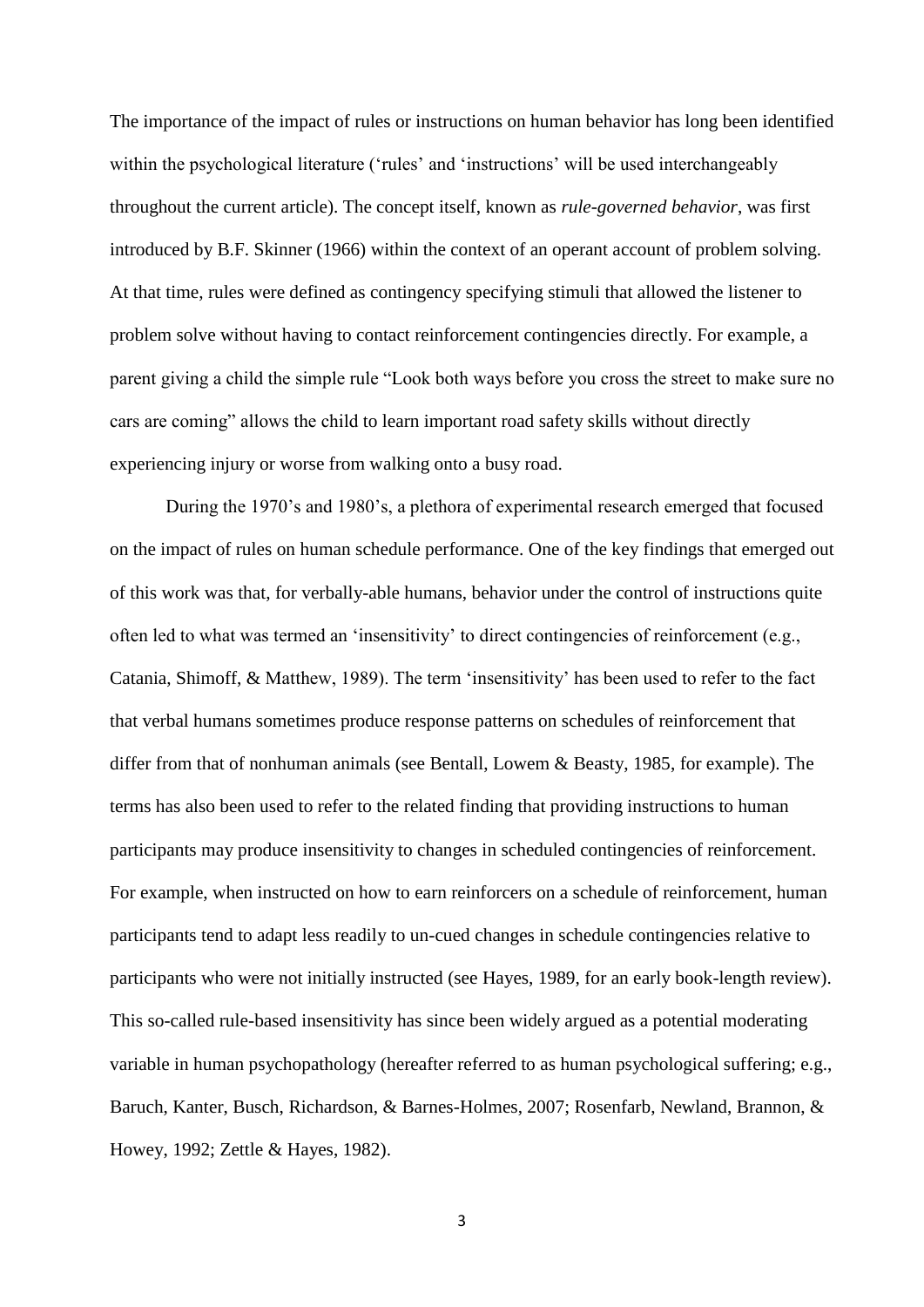The importance of the impact of rules or instructions on human behavior has long been identified within the psychological literature ('rules' and 'instructions' will be used interchangeably throughout the current article). The concept itself, known as *rule-governed behavior*, was first introduced by B.F. Skinner (1966) within the context of an operant account of problem solving. At that time, rules were defined as contingency specifying stimuli that allowed the listener to problem solve without having to contact reinforcement contingencies directly. For example, a parent giving a child the simple rule "Look both ways before you cross the street to make sure no cars are coming" allows the child to learn important road safety skills without directly experiencing injury or worse from walking onto a busy road.

During the 1970's and 1980's, a plethora of experimental research emerged that focused on the impact of rules on human schedule performance. One of the key findings that emerged out of this work was that, for verbally-able humans, behavior under the control of instructions quite often led to what was termed an 'insensitivity' to direct contingencies of reinforcement (e.g., Catania, Shimoff, & Matthew, 1989). The term 'insensitivity' has been used to refer to the fact that verbal humans sometimes produce response patterns on schedules of reinforcement that differ from that of nonhuman animals (see Bentall, Lowem & Beasty, 1985, for example). The terms has also been used to refer to the related finding that providing instructions to human participants may produce insensitivity to changes in scheduled contingencies of reinforcement. For example, when instructed on how to earn reinforcers on a schedule of reinforcement, human participants tend to adapt less readily to un-cued changes in schedule contingencies relative to participants who were not initially instructed (see Hayes, 1989, for an early book-length review). This so-called rule-based insensitivity has since been widely argued as a potential moderating variable in human psychopathology (hereafter referred to as human psychological suffering; e.g., Baruch, Kanter, Busch, Richardson, & Barnes-Holmes, 2007; Rosenfarb, Newland, Brannon, & Howey, 1992; Zettle & Hayes, 1982).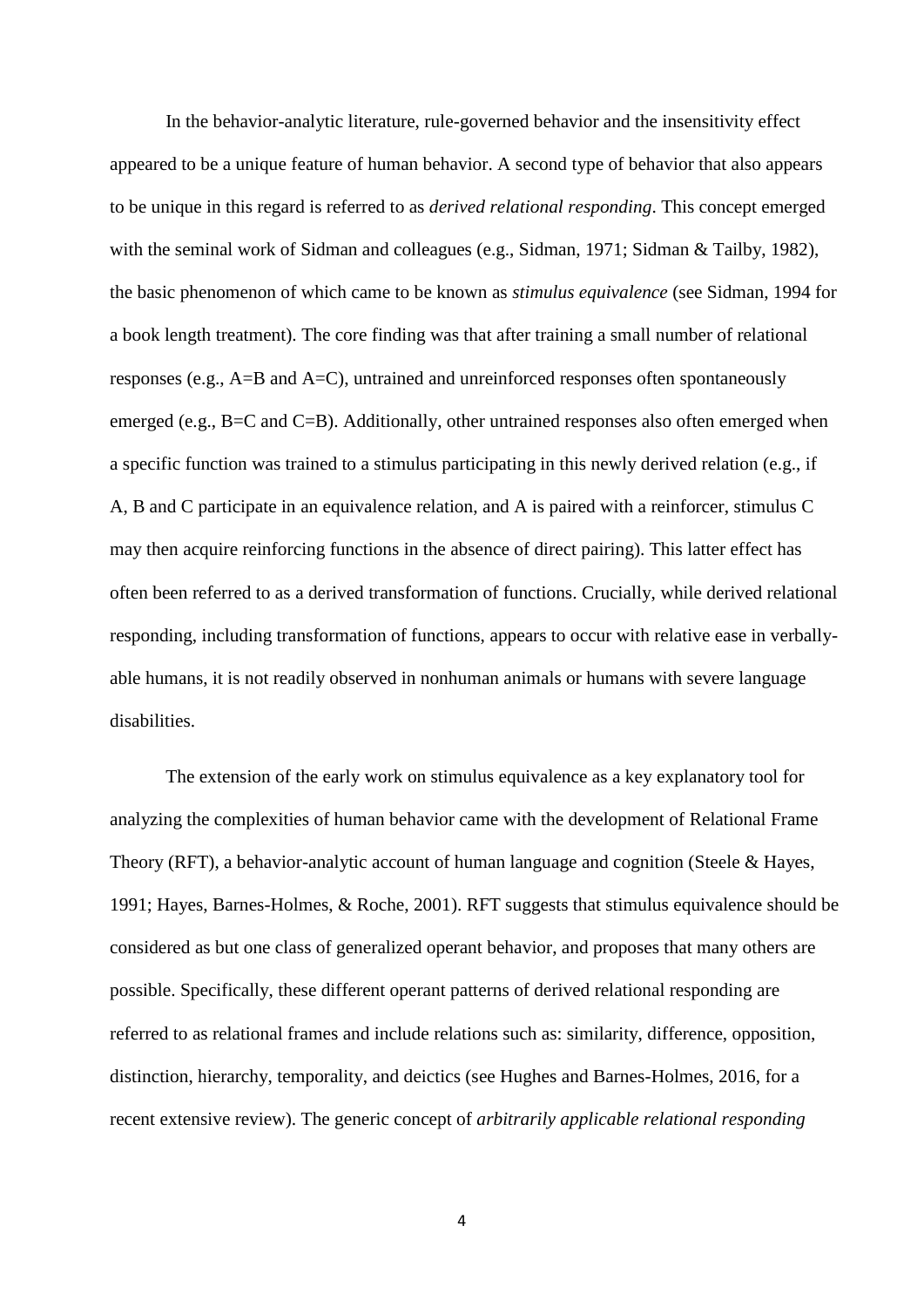In the behavior-analytic literature, rule-governed behavior and the insensitivity effect appeared to be a unique feature of human behavior. A second type of behavior that also appears to be unique in this regard is referred to as *derived relational responding*. This concept emerged with the seminal work of Sidman and colleagues (e.g., Sidman, 1971; Sidman & Tailby, 1982), the basic phenomenon of which came to be known as *stimulus equivalence* (see Sidman, 1994 for a book length treatment). The core finding was that after training a small number of relational responses (e.g., A=B and A=C), untrained and unreinforced responses often spontaneously emerged (e.g., B=C and C=B). Additionally, other untrained responses also often emerged when a specific function was trained to a stimulus participating in this newly derived relation (e.g., if A, B and C participate in an equivalence relation, and A is paired with a reinforcer, stimulus C may then acquire reinforcing functions in the absence of direct pairing). This latter effect has often been referred to as a derived transformation of functions. Crucially, while derived relational responding, including transformation of functions, appears to occur with relative ease in verballyable humans, it is not readily observed in nonhuman animals or humans with severe language disabilities.

The extension of the early work on stimulus equivalence as a key explanatory tool for analyzing the complexities of human behavior came with the development of Relational Frame Theory (RFT), a behavior-analytic account of human language and cognition (Steele & Hayes, 1991; Hayes, Barnes-Holmes, & Roche, 2001). RFT suggests that stimulus equivalence should be considered as but one class of generalized operant behavior, and proposes that many others are possible. Specifically, these different operant patterns of derived relational responding are referred to as relational frames and include relations such as: similarity, difference, opposition, distinction, hierarchy, temporality, and deictics (see Hughes and Barnes-Holmes, 2016, for a recent extensive review). The generic concept of *arbitrarily applicable relational responding*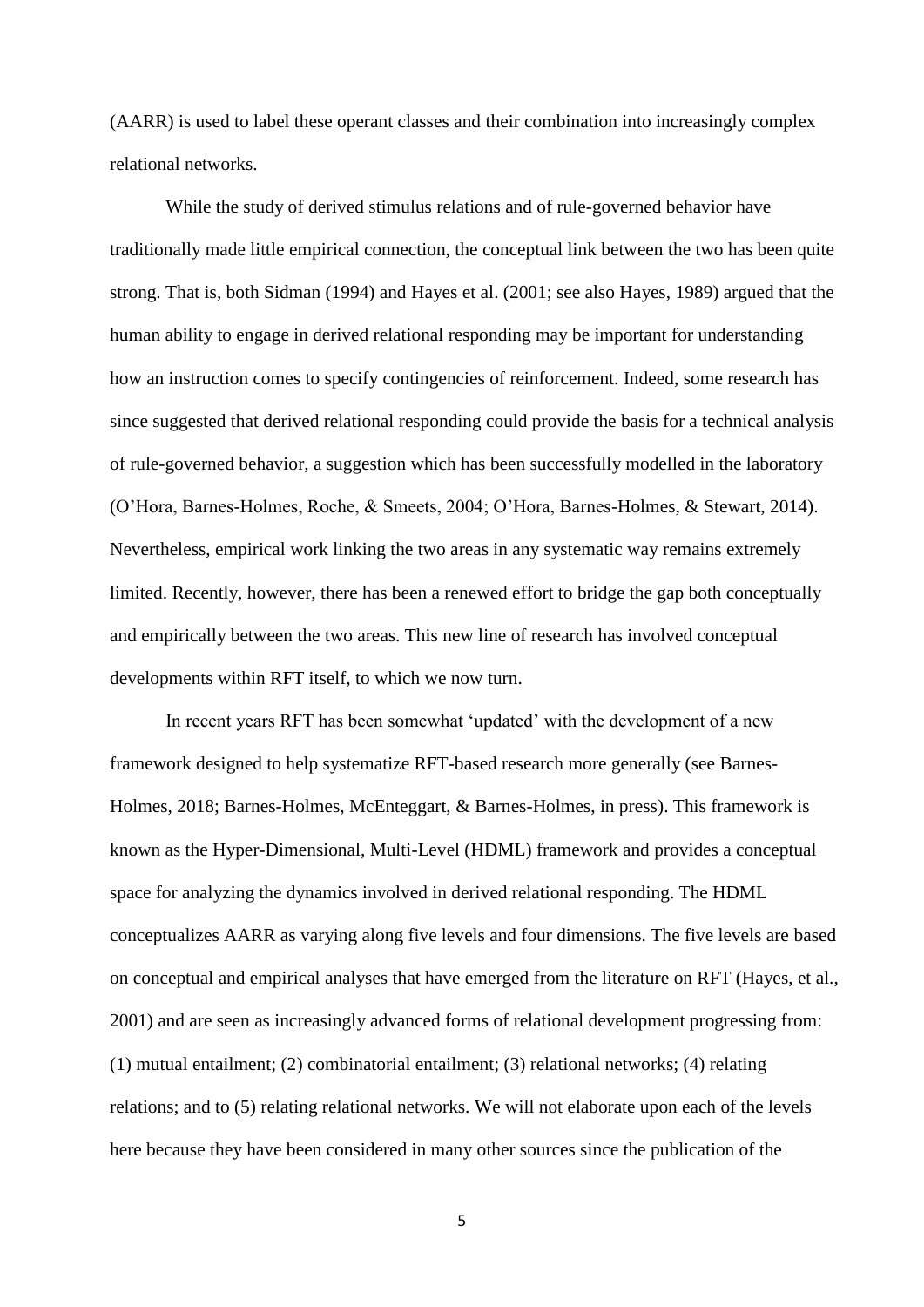(AARR) is used to label these operant classes and their combination into increasingly complex relational networks.

While the study of derived stimulus relations and of rule-governed behavior have traditionally made little empirical connection, the conceptual link between the two has been quite strong. That is, both Sidman (1994) and Hayes et al. (2001; see also Hayes, 1989) argued that the human ability to engage in derived relational responding may be important for understanding how an instruction comes to specify contingencies of reinforcement. Indeed, some research has since suggested that derived relational responding could provide the basis for a technical analysis of rule-governed behavior, a suggestion which has been successfully modelled in the laboratory (O'Hora, Barnes-Holmes, Roche, & Smeets, 2004; O'Hora, Barnes-Holmes, & Stewart, 2014). Nevertheless, empirical work linking the two areas in any systematic way remains extremely limited. Recently, however, there has been a renewed effort to bridge the gap both conceptually and empirically between the two areas. This new line of research has involved conceptual developments within RFT itself, to which we now turn.

In recent years RFT has been somewhat 'updated' with the development of a new framework designed to help systematize RFT-based research more generally (see Barnes-Holmes, 2018; Barnes-Holmes, McEnteggart, & Barnes-Holmes, in press). This framework is known as the Hyper-Dimensional, Multi-Level (HDML) framework and provides a conceptual space for analyzing the dynamics involved in derived relational responding. The HDML conceptualizes AARR as varying along five levels and four dimensions. The five levels are based on conceptual and empirical analyses that have emerged from the literature on RFT (Hayes, et al., 2001) and are seen as increasingly advanced forms of relational development progressing from: (1) mutual entailment; (2) combinatorial entailment; (3) relational networks; (4) relating relations; and to (5) relating relational networks. We will not elaborate upon each of the levels here because they have been considered in many other sources since the publication of the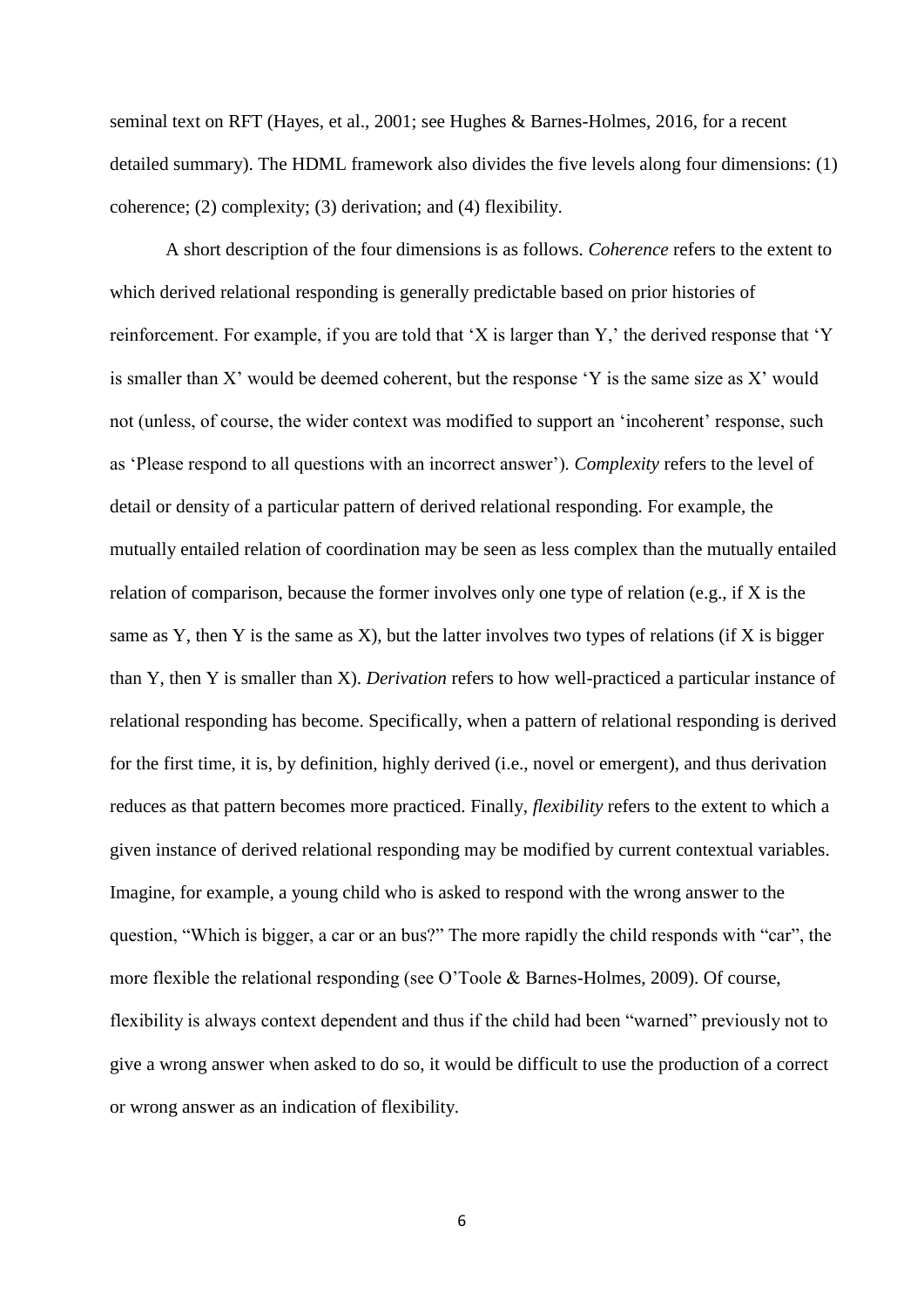seminal text on RFT (Hayes, et al., 2001; see Hughes & Barnes-Holmes, 2016, for a recent detailed summary). The HDML framework also divides the five levels along four dimensions: (1) coherence; (2) complexity; (3) derivation; and (4) flexibility.

A short description of the four dimensions is as follows. *Coherence* refers to the extent to which derived relational responding is generally predictable based on prior histories of reinforcement. For example, if you are told that 'X is larger than Y,' the derived response that 'Y is smaller than X' would be deemed coherent, but the response 'Y is the same size as X' would not (unless, of course, the wider context was modified to support an 'incoherent' response, such as 'Please respond to all questions with an incorrect answer'). *Complexity* refers to the level of detail or density of a particular pattern of derived relational responding. For example, the mutually entailed relation of coordination may be seen as less complex than the mutually entailed relation of comparison, because the former involves only one type of relation (e.g., if X is the same as Y, then Y is the same as X), but the latter involves two types of relations (if X is bigger than Y, then Y is smaller than X). *Derivation* refers to how well-practiced a particular instance of relational responding has become. Specifically, when a pattern of relational responding is derived for the first time, it is, by definition, highly derived (i.e., novel or emergent), and thus derivation reduces as that pattern becomes more practiced. Finally, *flexibility* refers to the extent to which a given instance of derived relational responding may be modified by current contextual variables. Imagine, for example, a young child who is asked to respond with the wrong answer to the question, "Which is bigger, a car or an bus?" The more rapidly the child responds with "car", the more flexible the relational responding (see O'Toole & Barnes-Holmes, 2009). Of course, flexibility is always context dependent and thus if the child had been "warned" previously not to give a wrong answer when asked to do so, it would be difficult to use the production of a correct or wrong answer as an indication of flexibility.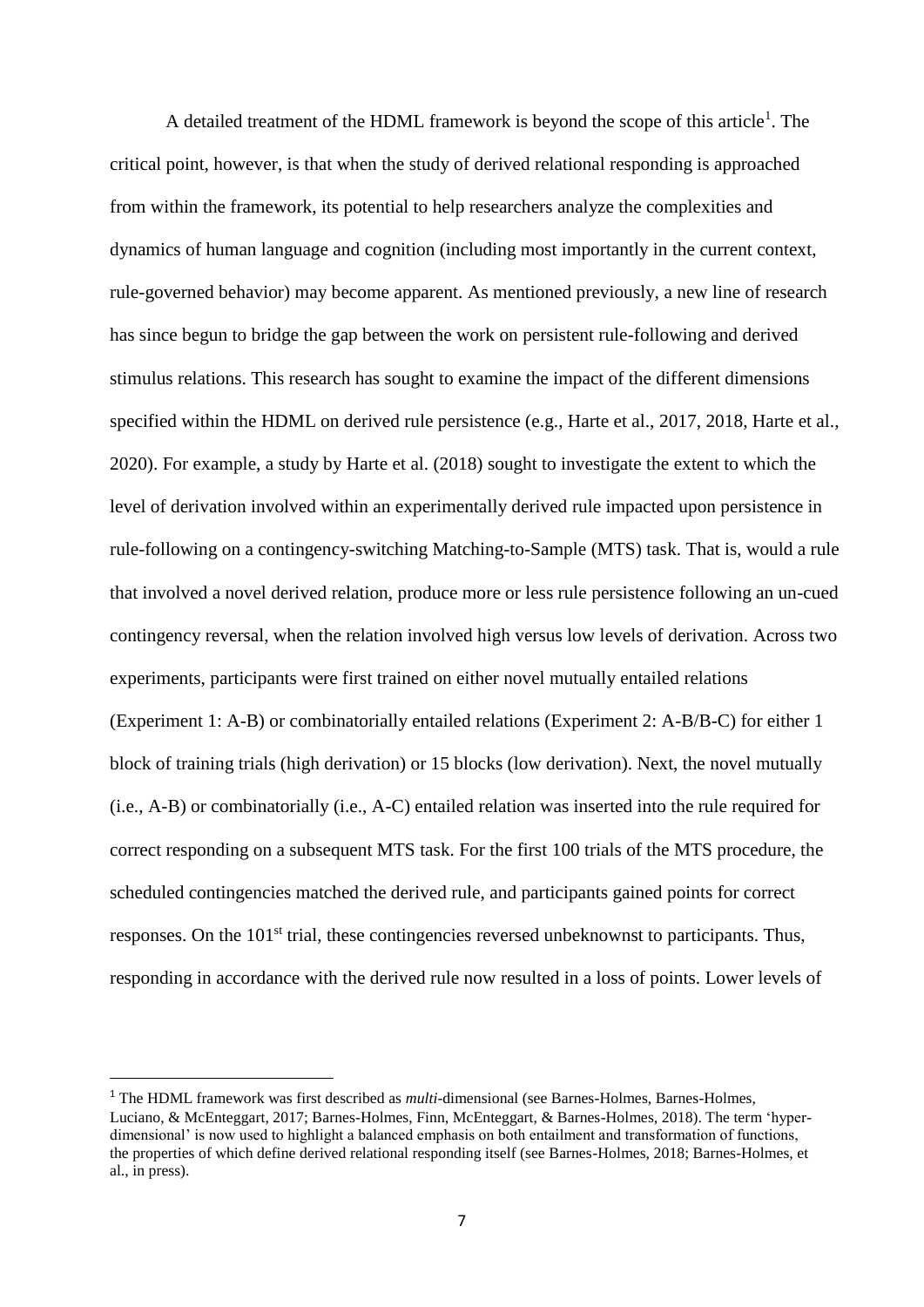A detailed treatment of the HDML framework is beyond the scope of this article<sup>1</sup>. The critical point, however, is that when the study of derived relational responding is approached from within the framework, its potential to help researchers analyze the complexities and dynamics of human language and cognition (including most importantly in the current context, rule-governed behavior) may become apparent. As mentioned previously, a new line of research has since begun to bridge the gap between the work on persistent rule-following and derived stimulus relations. This research has sought to examine the impact of the different dimensions specified within the HDML on derived rule persistence (e.g., Harte et al., 2017, 2018, Harte et al., 2020). For example, a study by Harte et al. (2018) sought to investigate the extent to which the level of derivation involved within an experimentally derived rule impacted upon persistence in rule-following on a contingency-switching Matching-to-Sample (MTS) task. That is, would a rule that involved a novel derived relation, produce more or less rule persistence following an un-cued contingency reversal, when the relation involved high versus low levels of derivation. Across two experiments, participants were first trained on either novel mutually entailed relations (Experiment 1: A-B) or combinatorially entailed relations (Experiment 2: A-B/B-C) for either 1 block of training trials (high derivation) or 15 blocks (low derivation). Next, the novel mutually (i.e., A-B) or combinatorially (i.e., A-C) entailed relation was inserted into the rule required for correct responding on a subsequent MTS task. For the first 100 trials of the MTS procedure, the scheduled contingencies matched the derived rule, and participants gained points for correct responses. On the 101<sup>st</sup> trial, these contingencies reversed unbeknownst to participants. Thus, responding in accordance with the derived rule now resulted in a loss of points. Lower levels of

<sup>1</sup> The HDML framework was first described as *multi*-dimensional (see Barnes-Holmes, Barnes-Holmes, Luciano, & McEnteggart, 2017; Barnes-Holmes, Finn, McEnteggart, & Barnes-Holmes, 2018). The term 'hyperdimensional' is now used to highlight a balanced emphasis on both entailment and transformation of functions, the properties of which define derived relational responding itself (see Barnes-Holmes, 2018; Barnes-Holmes, et al., in press).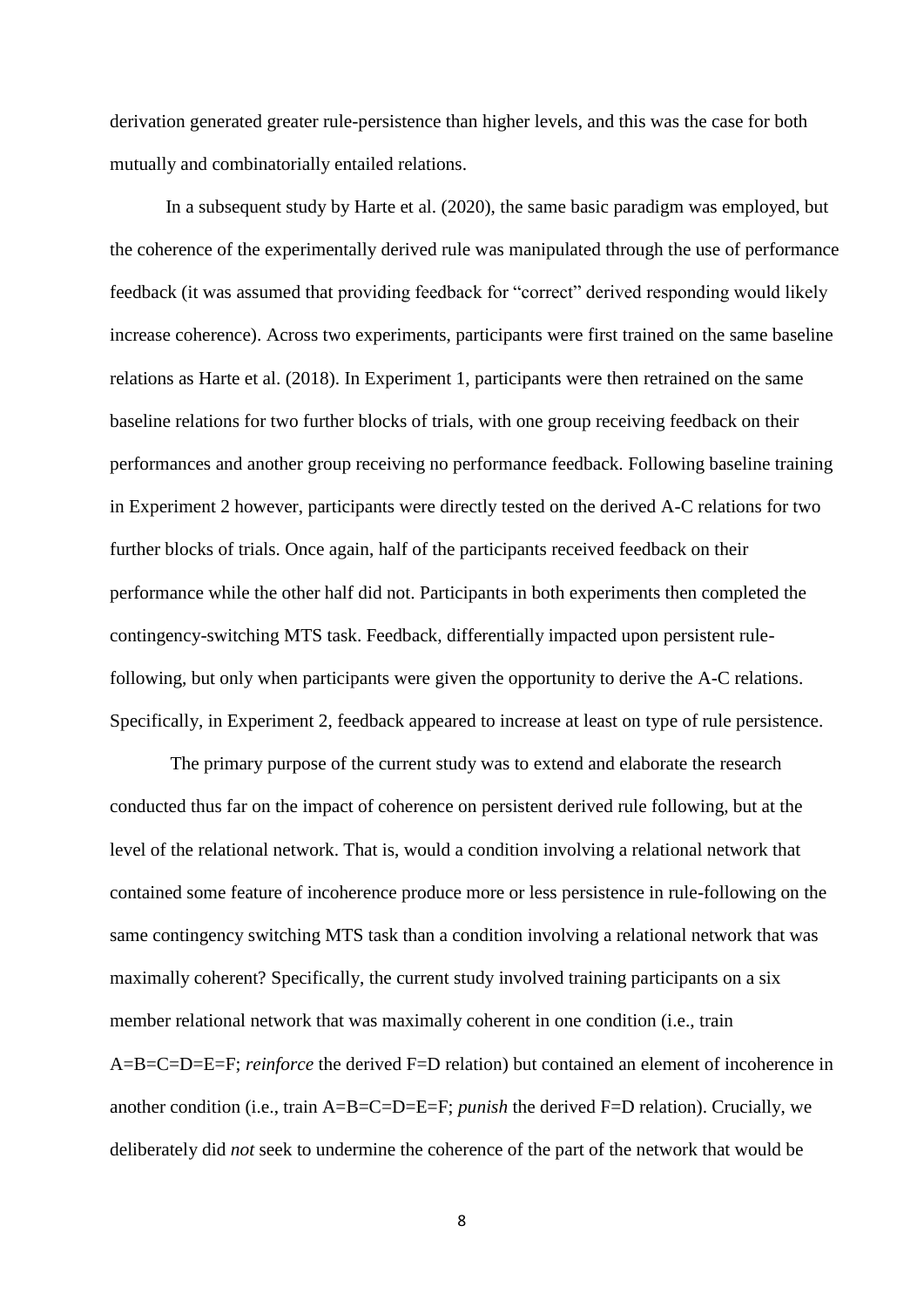derivation generated greater rule-persistence than higher levels, and this was the case for both mutually and combinatorially entailed relations.

In a subsequent study by Harte et al. (2020), the same basic paradigm was employed, but the coherence of the experimentally derived rule was manipulated through the use of performance feedback (it was assumed that providing feedback for "correct" derived responding would likely increase coherence). Across two experiments, participants were first trained on the same baseline relations as Harte et al. (2018). In Experiment 1, participants were then retrained on the same baseline relations for two further blocks of trials, with one group receiving feedback on their performances and another group receiving no performance feedback. Following baseline training in Experiment 2 however, participants were directly tested on the derived A-C relations for two further blocks of trials. Once again, half of the participants received feedback on their performance while the other half did not. Participants in both experiments then completed the contingency-switching MTS task. Feedback, differentially impacted upon persistent rulefollowing, but only when participants were given the opportunity to derive the A-C relations. Specifically, in Experiment 2, feedback appeared to increase at least on type of rule persistence.

The primary purpose of the current study was to extend and elaborate the research conducted thus far on the impact of coherence on persistent derived rule following, but at the level of the relational network. That is, would a condition involving a relational network that contained some feature of incoherence produce more or less persistence in rule-following on the same contingency switching MTS task than a condition involving a relational network that was maximally coherent? Specifically, the current study involved training participants on a six member relational network that was maximally coherent in one condition (i.e., train A=B=C=D=E=F; *reinforce* the derived F=D relation) but contained an element of incoherence in another condition (i.e., train A=B=C=D=E=F; *punish* the derived F=D relation). Crucially, we deliberately did *not* seek to undermine the coherence of the part of the network that would be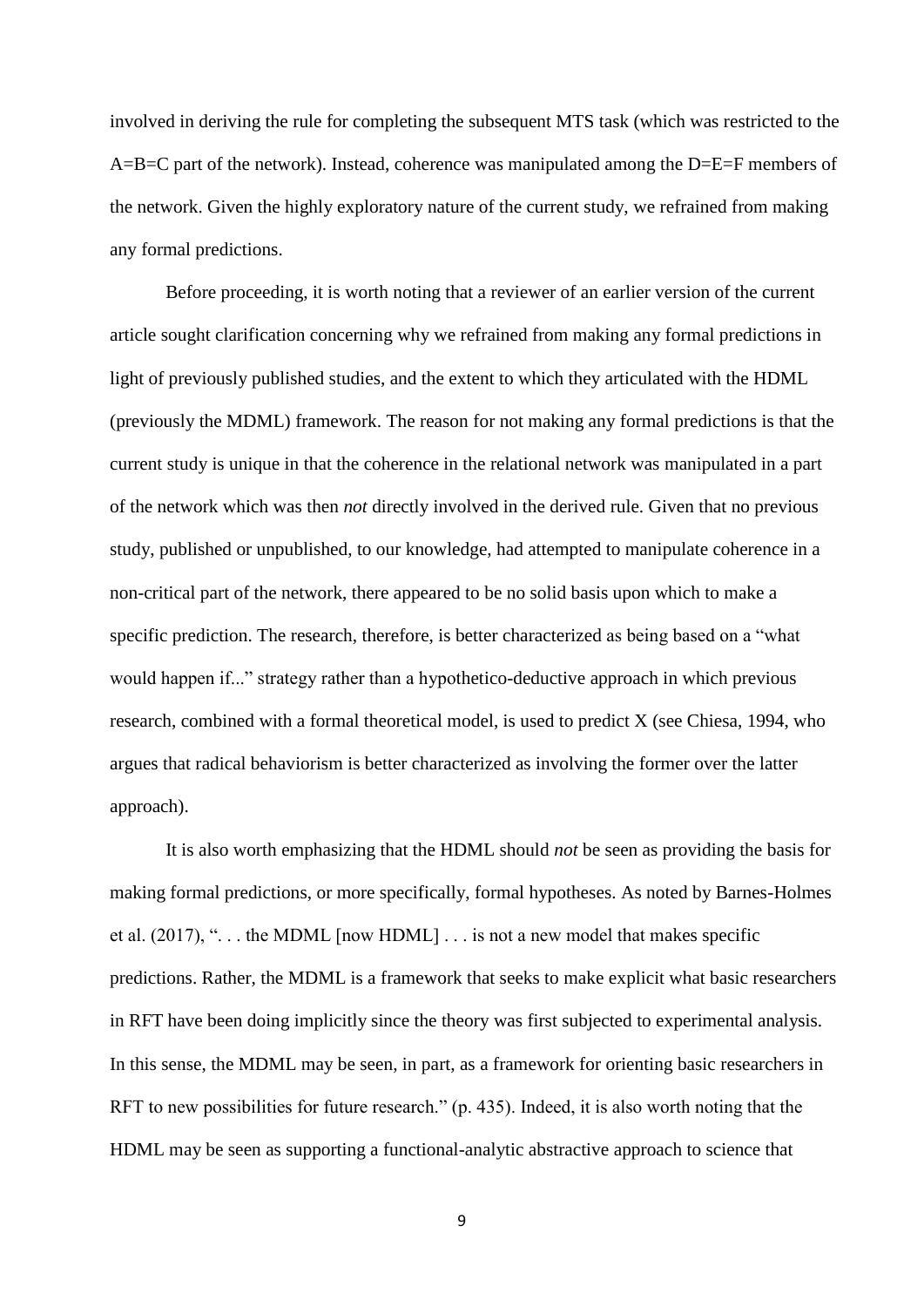involved in deriving the rule for completing the subsequent MTS task (which was restricted to the A=B=C part of the network). Instead, coherence was manipulated among the D=E=F members of the network. Given the highly exploratory nature of the current study, we refrained from making any formal predictions.

Before proceeding, it is worth noting that a reviewer of an earlier version of the current article sought clarification concerning why we refrained from making any formal predictions in light of previously published studies, and the extent to which they articulated with the HDML (previously the MDML) framework. The reason for not making any formal predictions is that the current study is unique in that the coherence in the relational network was manipulated in a part of the network which was then *not* directly involved in the derived rule. Given that no previous study, published or unpublished, to our knowledge, had attempted to manipulate coherence in a non-critical part of the network, there appeared to be no solid basis upon which to make a specific prediction. The research, therefore, is better characterized as being based on a "what would happen if..." strategy rather than a hypothetico-deductive approach in which previous research, combined with a formal theoretical model, is used to predict X (see Chiesa, 1994, who argues that radical behaviorism is better characterized as involving the former over the latter approach).

It is also worth emphasizing that the HDML should *not* be seen as providing the basis for making formal predictions, or more specifically, formal hypotheses. As noted by Barnes-Holmes et al.  $(2017)$ , "... the MDML [now HDML] ... is not a new model that makes specific predictions. Rather, the MDML is a framework that seeks to make explicit what basic researchers in RFT have been doing implicitly since the theory was first subjected to experimental analysis. In this sense, the MDML may be seen, in part, as a framework for orienting basic researchers in RFT to new possibilities for future research." (p. 435). Indeed, it is also worth noting that the HDML may be seen as supporting a functional-analytic abstractive approach to science that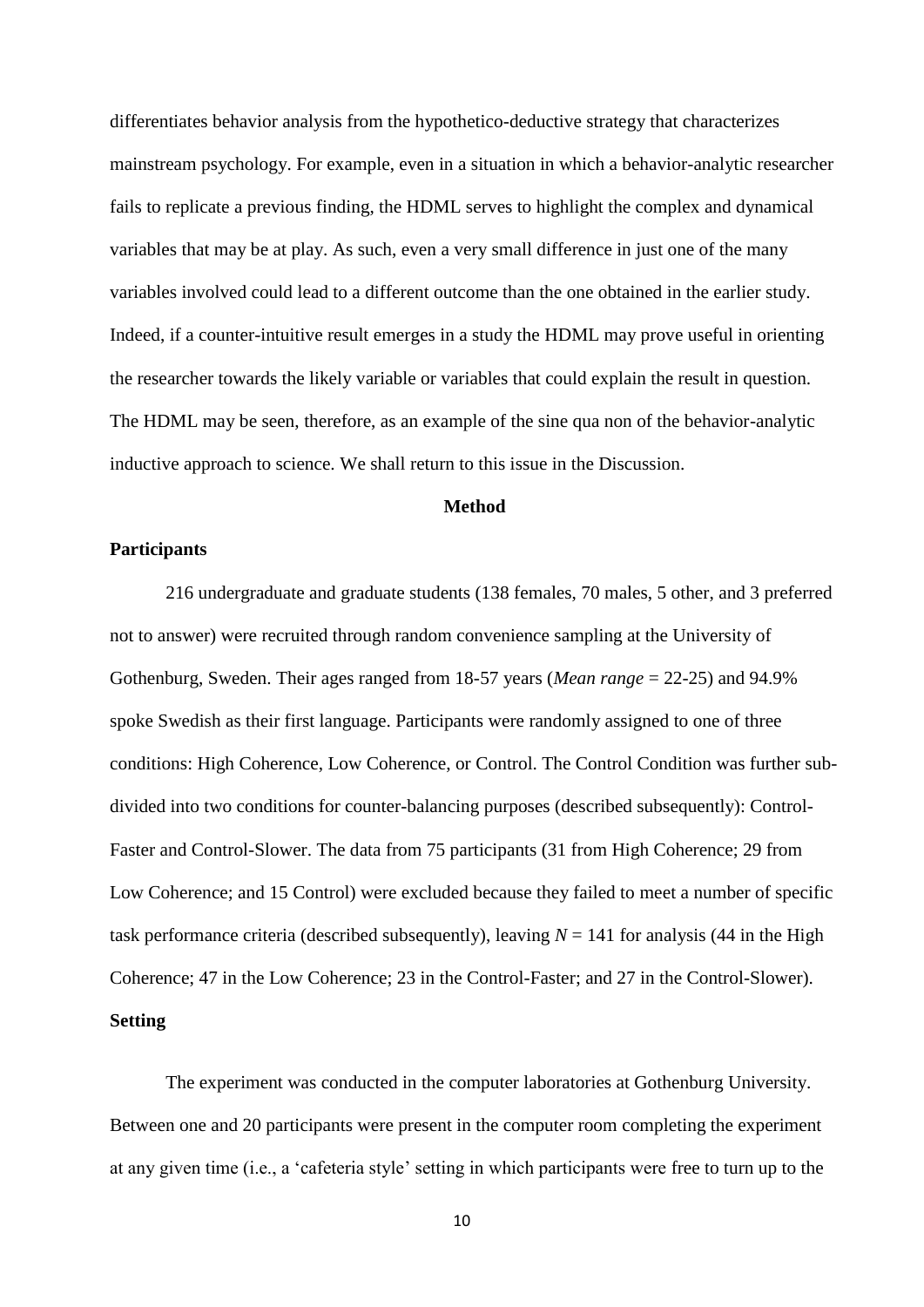differentiates behavior analysis from the hypothetico-deductive strategy that characterizes mainstream psychology. For example, even in a situation in which a behavior-analytic researcher fails to replicate a previous finding, the HDML serves to highlight the complex and dynamical variables that may be at play. As such, even a very small difference in just one of the many variables involved could lead to a different outcome than the one obtained in the earlier study. Indeed, if a counter-intuitive result emerges in a study the HDML may prove useful in orienting the researcher towards the likely variable or variables that could explain the result in question. The HDML may be seen, therefore, as an example of the sine qua non of the behavior-analytic inductive approach to science. We shall return to this issue in the Discussion.

# **Method**

# **Participants**

216 undergraduate and graduate students (138 females, 70 males, 5 other, and 3 preferred not to answer) were recruited through random convenience sampling at the University of Gothenburg, Sweden. Their ages ranged from 18-57 years (*Mean range* = 22-25) and 94.9% spoke Swedish as their first language. Participants were randomly assigned to one of three conditions: High Coherence, Low Coherence, or Control. The Control Condition was further subdivided into two conditions for counter-balancing purposes (described subsequently): Control-Faster and Control-Slower. The data from 75 participants (31 from High Coherence; 29 from Low Coherence; and 15 Control) were excluded because they failed to meet a number of specific task performance criteria (described subsequently), leaving  $N = 141$  for analysis (44 in the High Coherence; 47 in the Low Coherence; 23 in the Control-Faster; and 27 in the Control-Slower). **Setting**

The experiment was conducted in the computer laboratories at Gothenburg University. Between one and 20 participants were present in the computer room completing the experiment at any given time (i.e., a 'cafeteria style' setting in which participants were free to turn up to the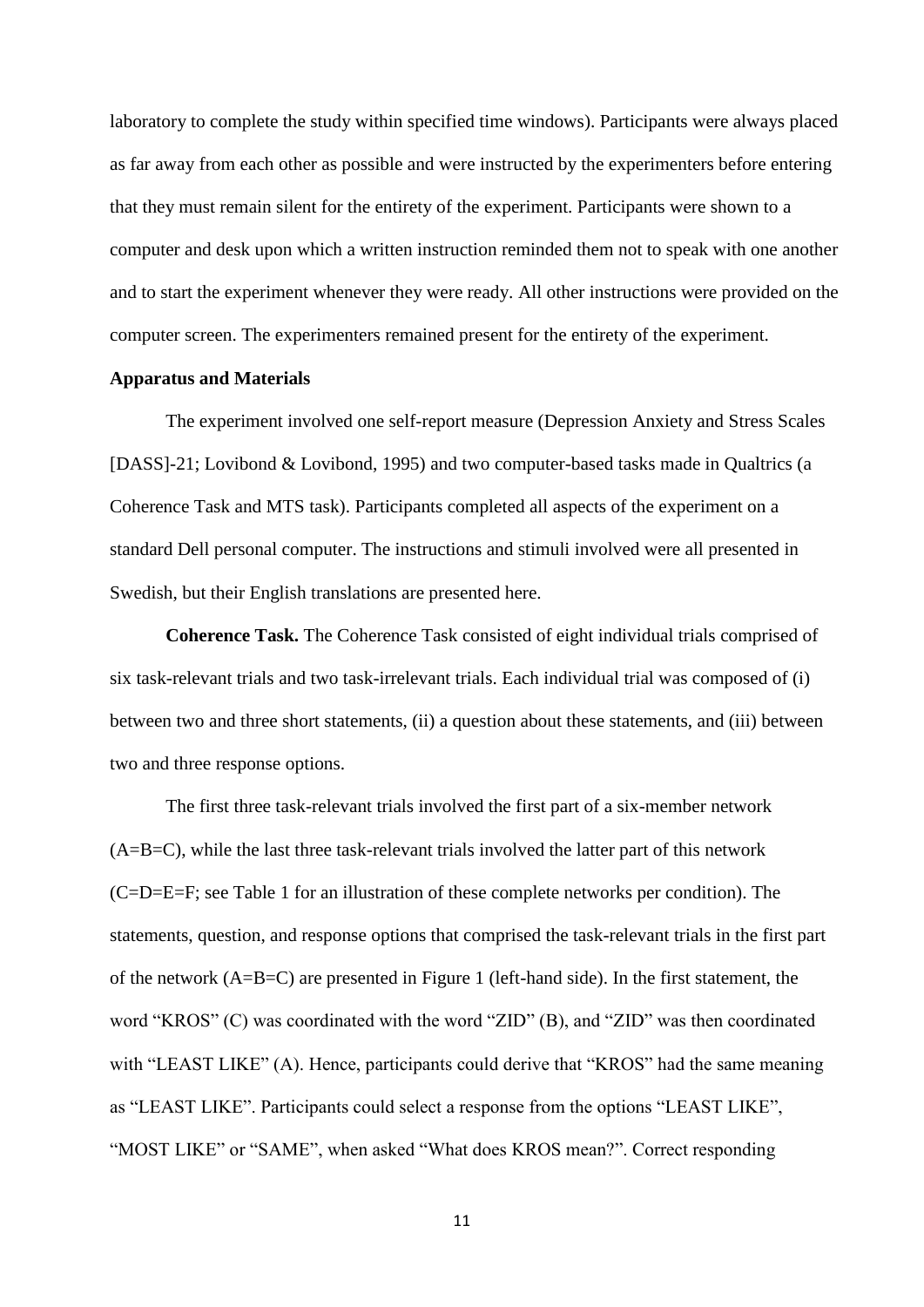laboratory to complete the study within specified time windows). Participants were always placed as far away from each other as possible and were instructed by the experimenters before entering that they must remain silent for the entirety of the experiment. Participants were shown to a computer and desk upon which a written instruction reminded them not to speak with one another and to start the experiment whenever they were ready. All other instructions were provided on the computer screen. The experimenters remained present for the entirety of the experiment.

#### **Apparatus and Materials**

The experiment involved one self-report measure (Depression Anxiety and Stress Scales [DASS]-21; Lovibond & Lovibond, 1995) and two computer-based tasks made in Qualtrics (a Coherence Task and MTS task). Participants completed all aspects of the experiment on a standard Dell personal computer. The instructions and stimuli involved were all presented in Swedish, but their English translations are presented here.

**Coherence Task.** The Coherence Task consisted of eight individual trials comprised of six task-relevant trials and two task-irrelevant trials. Each individual trial was composed of (i) between two and three short statements, (ii) a question about these statements, and (iii) between two and three response options.

The first three task-relevant trials involved the first part of a six-member network (A=B=C), while the last three task-relevant trials involved the latter part of this network (C=D=E=F; see Table 1 for an illustration of these complete networks per condition). The statements, question, and response options that comprised the task-relevant trials in the first part of the network (A=B=C) are presented in Figure 1 (left-hand side). In the first statement, the word "KROS" (C) was coordinated with the word "ZID" (B), and "ZID" was then coordinated with "LEAST LIKE" (A). Hence, participants could derive that "KROS" had the same meaning as "LEAST LIKE". Participants could select a response from the options "LEAST LIKE", "MOST LIKE" or "SAME", when asked "What does KROS mean?". Correct responding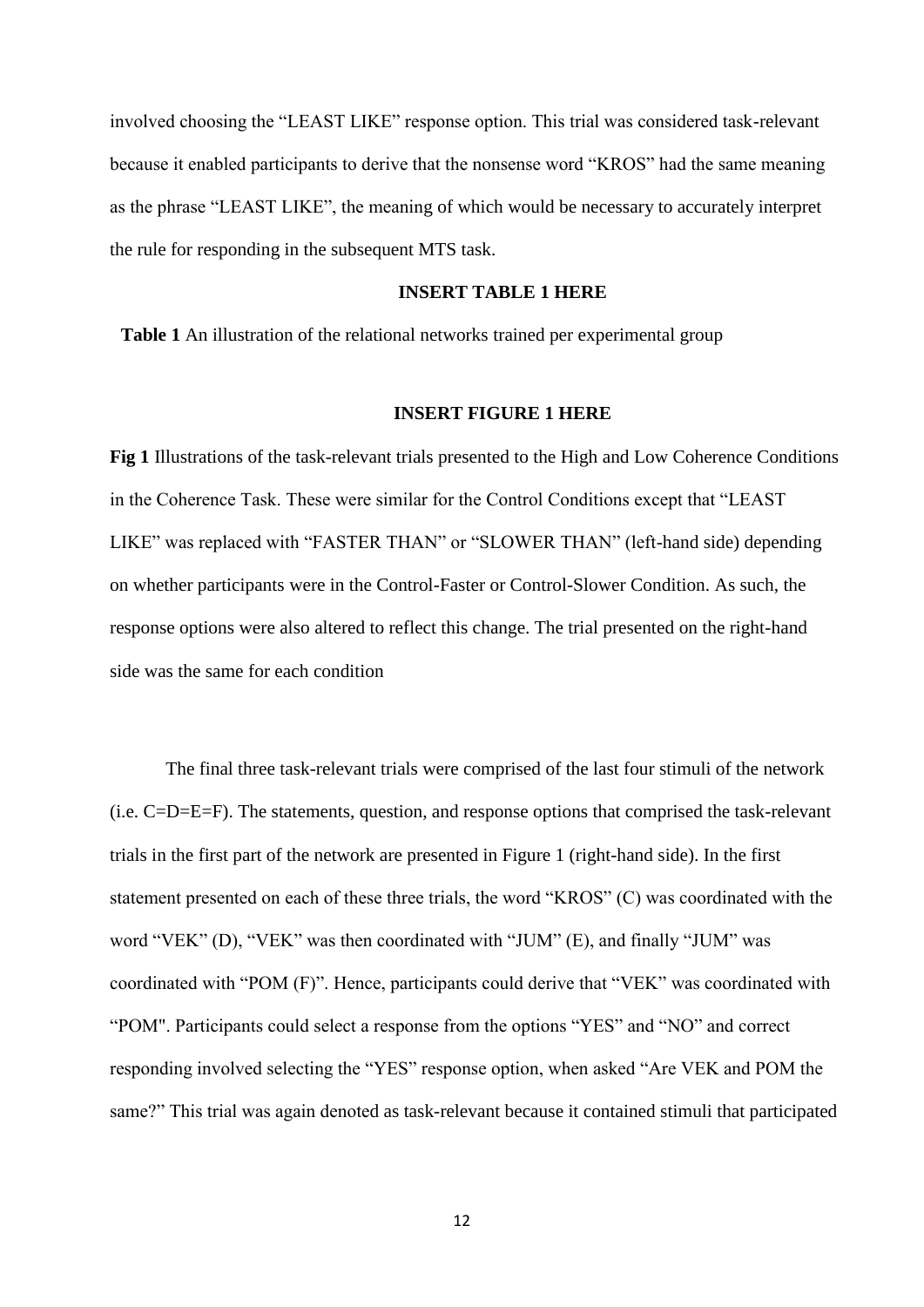involved choosing the "LEAST LIKE" response option. This trial was considered task-relevant because it enabled participants to derive that the nonsense word "KROS" had the same meaning as the phrase "LEAST LIKE", the meaning of which would be necessary to accurately interpret the rule for responding in the subsequent MTS task.

#### **INSERT TABLE 1 HERE**

**Table 1** An illustration of the relational networks trained per experimental group

#### **INSERT FIGURE 1 HERE**

**Fig 1** Illustrations of the task-relevant trials presented to the High and Low Coherence Conditions in the Coherence Task. These were similar for the Control Conditions except that "LEAST LIKE" was replaced with "FASTER THAN" or "SLOWER THAN" (left-hand side) depending on whether participants were in the Control-Faster or Control-Slower Condition. As such, the response options were also altered to reflect this change. The trial presented on the right-hand side was the same for each condition

The final three task-relevant trials were comprised of the last four stimuli of the network (i.e. C=D=E=F). The statements, question, and response options that comprised the task-relevant trials in the first part of the network are presented in Figure 1 (right-hand side). In the first statement presented on each of these three trials, the word "KROS" (C) was coordinated with the word "VEK" (D), "VEK" was then coordinated with "JUM" (E), and finally "JUM" was coordinated with "POM (F)". Hence, participants could derive that "VEK" was coordinated with "POM". Participants could select a response from the options "YES" and "NO" and correct responding involved selecting the "YES" response option, when asked "Are VEK and POM the same?" This trial was again denoted as task-relevant because it contained stimuli that participated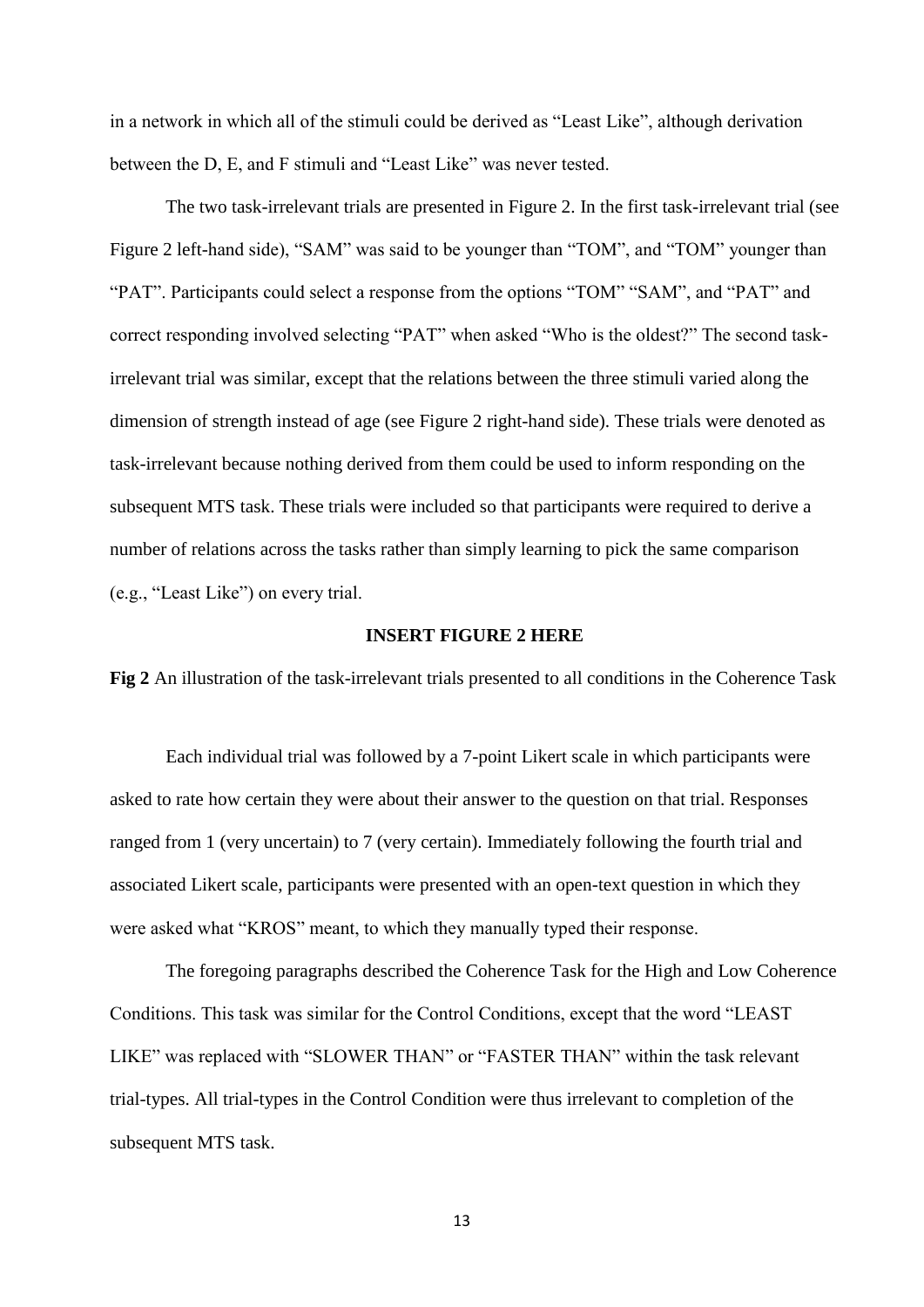in a network in which all of the stimuli could be derived as "Least Like", although derivation between the D, E, and F stimuli and "Least Like" was never tested.

The two task-irrelevant trials are presented in Figure 2. In the first task-irrelevant trial (see Figure 2 left-hand side), "SAM" was said to be younger than "TOM", and "TOM" younger than "PAT". Participants could select a response from the options "TOM" "SAM", and "PAT" and correct responding involved selecting "PAT" when asked "Who is the oldest?" The second taskirrelevant trial was similar, except that the relations between the three stimuli varied along the dimension of strength instead of age (see Figure 2 right-hand side). These trials were denoted as task-irrelevant because nothing derived from them could be used to inform responding on the subsequent MTS task. These trials were included so that participants were required to derive a number of relations across the tasks rather than simply learning to pick the same comparison (e.g., "Least Like") on every trial.

## **INSERT FIGURE 2 HERE**

**Fig 2** An illustration of the task-irrelevant trials presented to all conditions in the Coherence Task

Each individual trial was followed by a 7-point Likert scale in which participants were asked to rate how certain they were about their answer to the question on that trial. Responses ranged from 1 (very uncertain) to 7 (very certain). Immediately following the fourth trial and associated Likert scale, participants were presented with an open-text question in which they were asked what "KROS" meant, to which they manually typed their response.

The foregoing paragraphs described the Coherence Task for the High and Low Coherence Conditions. This task was similar for the Control Conditions, except that the word "LEAST LIKE" was replaced with "SLOWER THAN" or "FASTER THAN" within the task relevant trial-types. All trial-types in the Control Condition were thus irrelevant to completion of the subsequent MTS task.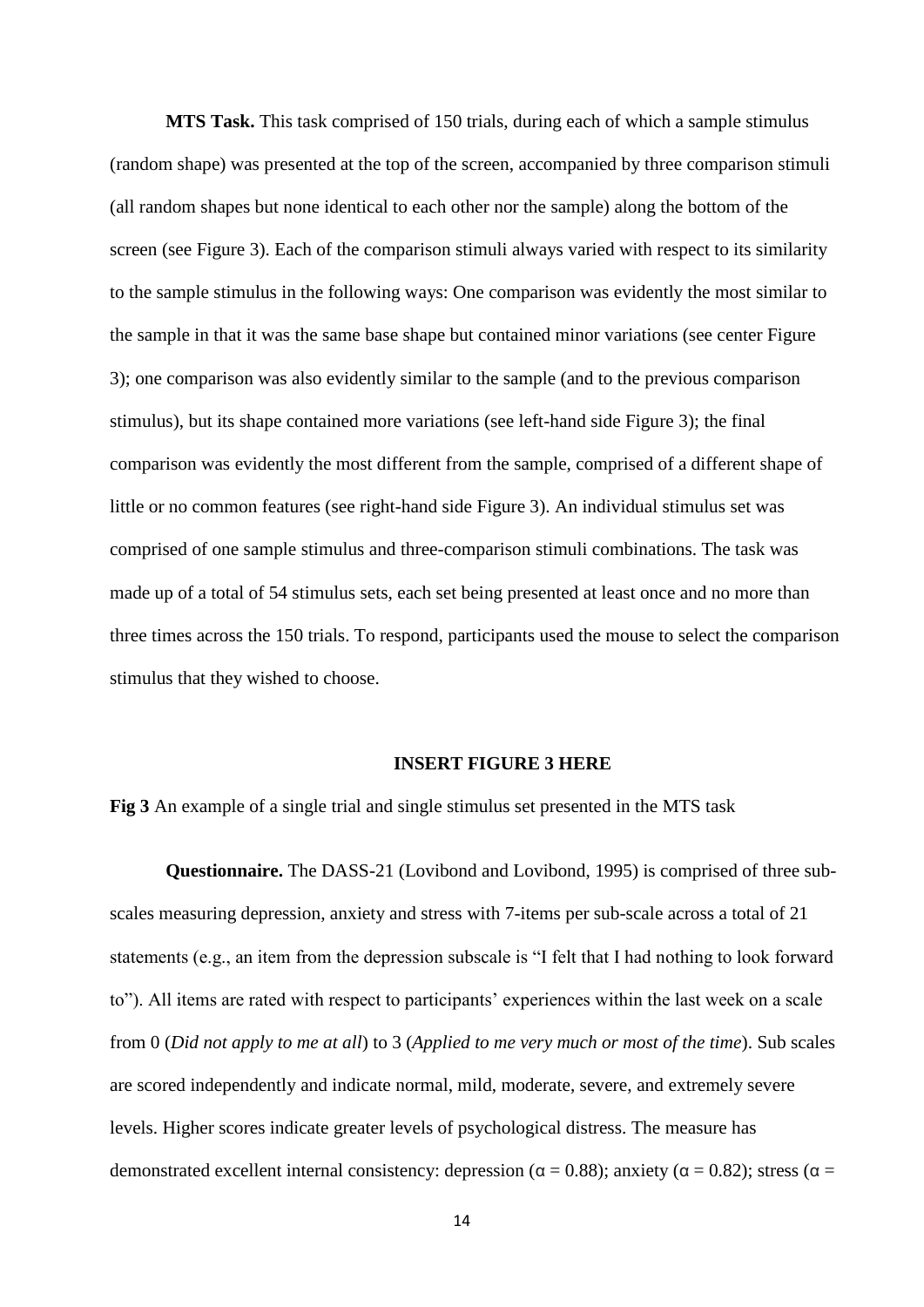**MTS Task.** This task comprised of 150 trials, during each of which a sample stimulus (random shape) was presented at the top of the screen, accompanied by three comparison stimuli (all random shapes but none identical to each other nor the sample) along the bottom of the screen (see Figure 3). Each of the comparison stimuli always varied with respect to its similarity to the sample stimulus in the following ways: One comparison was evidently the most similar to the sample in that it was the same base shape but contained minor variations (see center Figure 3); one comparison was also evidently similar to the sample (and to the previous comparison stimulus), but its shape contained more variations (see left-hand side Figure 3); the final comparison was evidently the most different from the sample, comprised of a different shape of little or no common features (see right-hand side Figure 3). An individual stimulus set was comprised of one sample stimulus and three-comparison stimuli combinations. The task was made up of a total of 54 stimulus sets, each set being presented at least once and no more than three times across the 150 trials. To respond, participants used the mouse to select the comparison stimulus that they wished to choose.

#### **INSERT FIGURE 3 HERE**

**Fig 3** An example of a single trial and single stimulus set presented in the MTS task

**Questionnaire.** The DASS-21 (Lovibond and Lovibond, 1995) is comprised of three subscales measuring depression, anxiety and stress with 7-items per sub-scale across a total of 21 statements (e.g., an item from the depression subscale is "I felt that I had nothing to look forward to"). All items are rated with respect to participants' experiences within the last week on a scale from 0 (*Did not apply to me at all*) to 3 (*Applied to me very much or most of the time*). Sub scales are scored independently and indicate normal, mild, moderate, severe, and extremely severe levels. Higher scores indicate greater levels of psychological distress. The measure has demonstrated excellent internal consistency: depression ( $\alpha = 0.88$ ); anxiety ( $\alpha = 0.82$ ); stress ( $\alpha =$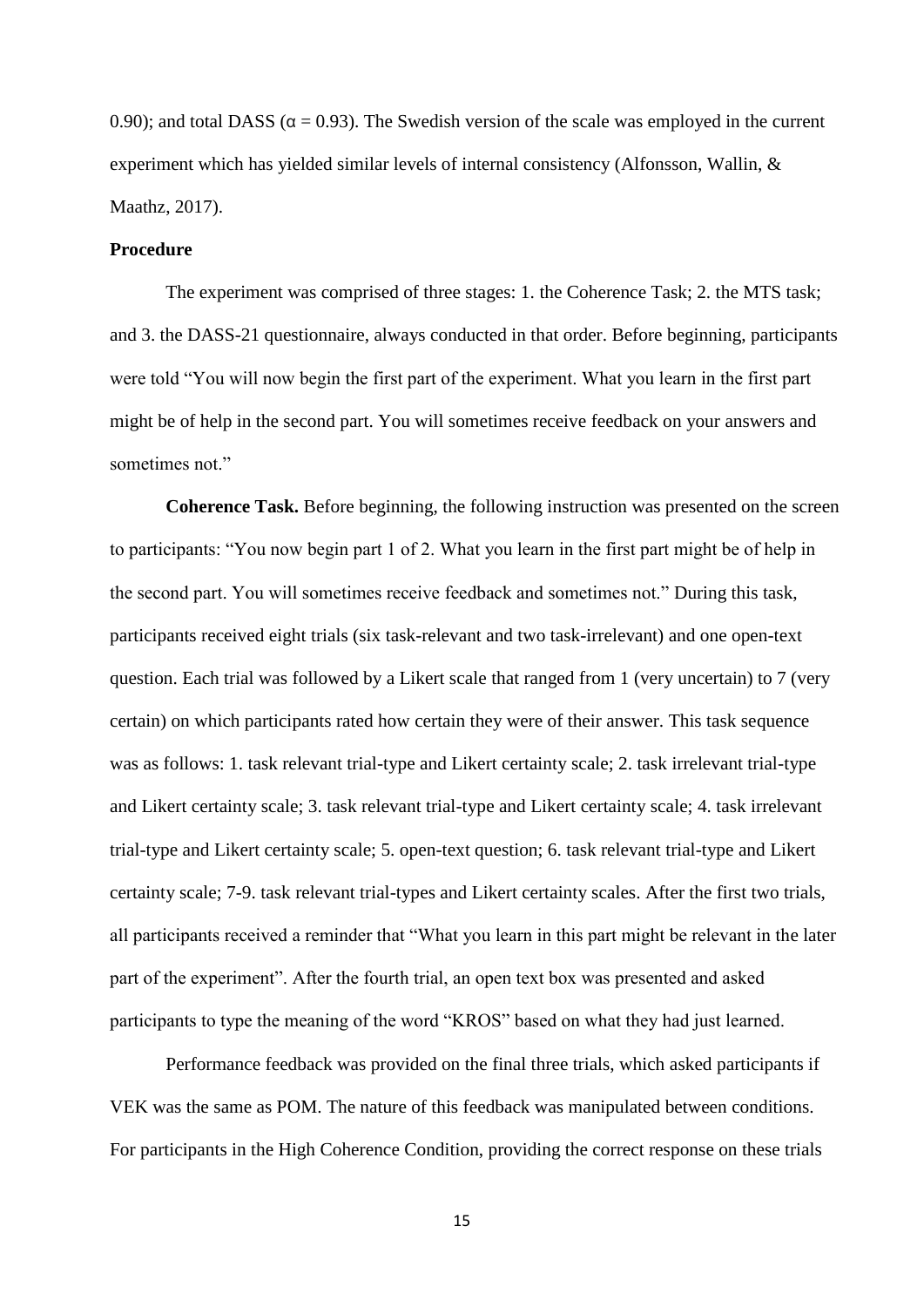0.90); and total DASS ( $\alpha = 0.93$ ). The Swedish version of the scale was employed in the current experiment which has yielded similar levels of internal consistency (Alfonsson, Wallin, & Maathz, 2017).

# **Procedure**

The experiment was comprised of three stages: 1. the Coherence Task; 2. the MTS task; and 3. the DASS-21 questionnaire, always conducted in that order. Before beginning, participants were told "You will now begin the first part of the experiment. What you learn in the first part might be of help in the second part. You will sometimes receive feedback on your answers and sometimes not."

**Coherence Task.** Before beginning, the following instruction was presented on the screen to participants: "You now begin part 1 of 2. What you learn in the first part might be of help in the second part. You will sometimes receive feedback and sometimes not." During this task, participants received eight trials (six task-relevant and two task-irrelevant) and one open-text question. Each trial was followed by a Likert scale that ranged from 1 (very uncertain) to 7 (very certain) on which participants rated how certain they were of their answer. This task sequence was as follows: 1. task relevant trial-type and Likert certainty scale; 2. task irrelevant trial-type and Likert certainty scale; 3. task relevant trial-type and Likert certainty scale; 4. task irrelevant trial-type and Likert certainty scale; 5. open-text question; 6. task relevant trial-type and Likert certainty scale; 7-9. task relevant trial-types and Likert certainty scales. After the first two trials, all participants received a reminder that "What you learn in this part might be relevant in the later part of the experiment". After the fourth trial, an open text box was presented and asked participants to type the meaning of the word "KROS" based on what they had just learned.

Performance feedback was provided on the final three trials, which asked participants if VEK was the same as POM. The nature of this feedback was manipulated between conditions. For participants in the High Coherence Condition, providing the correct response on these trials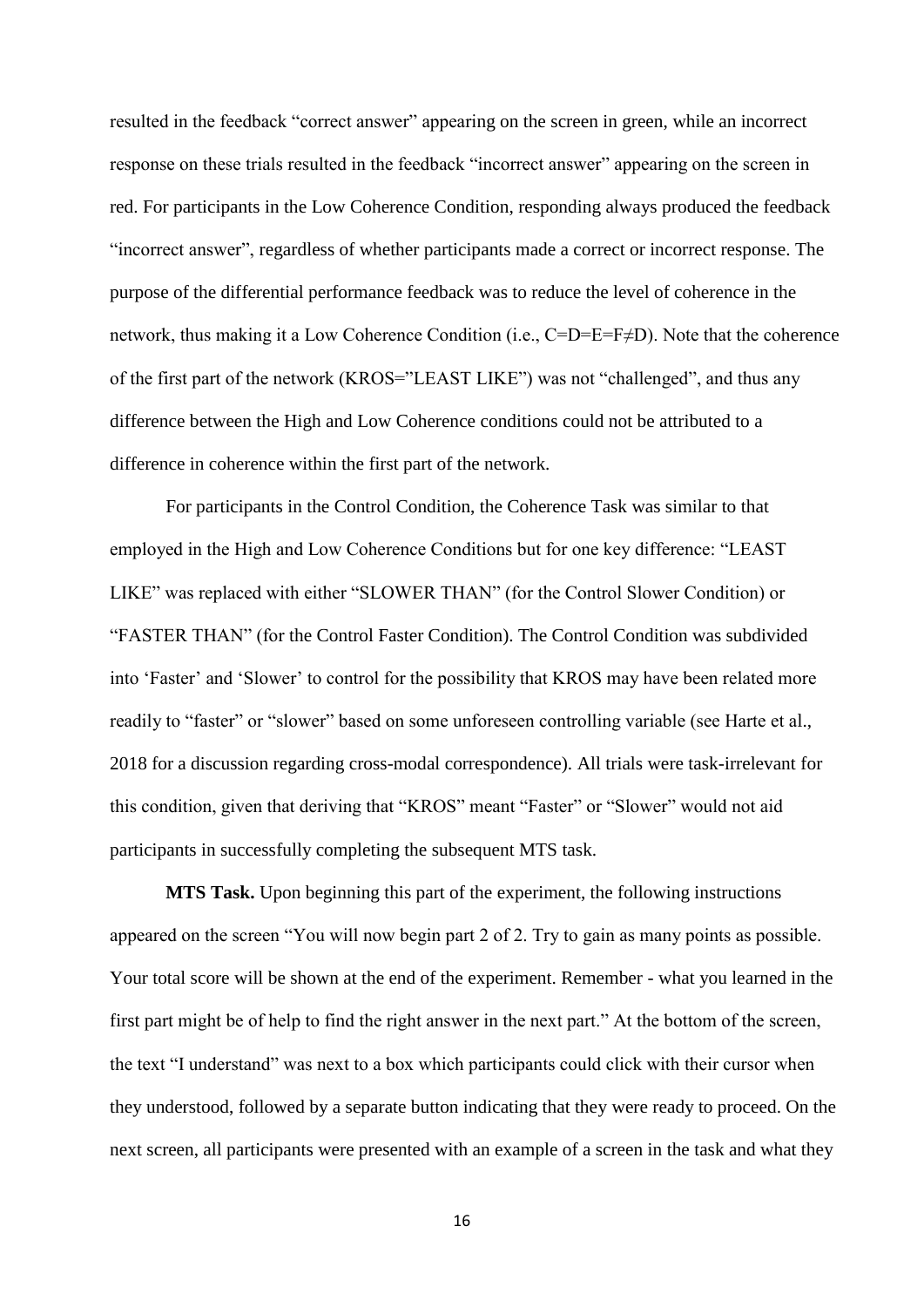resulted in the feedback "correct answer" appearing on the screen in green, while an incorrect response on these trials resulted in the feedback "incorrect answer" appearing on the screen in red. For participants in the Low Coherence Condition, responding always produced the feedback "incorrect answer", regardless of whether participants made a correct or incorrect response. The purpose of the differential performance feedback was to reduce the level of coherence in the network, thus making it a Low Coherence Condition (i.e., C=D=E=F≠D). Note that the coherence of the first part of the network (KROS="LEAST LIKE") was not "challenged", and thus any difference between the High and Low Coherence conditions could not be attributed to a difference in coherence within the first part of the network.

For participants in the Control Condition, the Coherence Task was similar to that employed in the High and Low Coherence Conditions but for one key difference: "LEAST LIKE" was replaced with either "SLOWER THAN" (for the Control Slower Condition) or "FASTER THAN" (for the Control Faster Condition). The Control Condition was subdivided into 'Faster' and 'Slower' to control for the possibility that KROS may have been related more readily to "faster" or "slower" based on some unforeseen controlling variable (see Harte et al., 2018 for a discussion regarding cross-modal correspondence). All trials were task-irrelevant for this condition, given that deriving that "KROS" meant "Faster" or "Slower" would not aid participants in successfully completing the subsequent MTS task.

**MTS Task.** Upon beginning this part of the experiment, the following instructions appeared on the screen "You will now begin part 2 of 2. Try to gain as many points as possible. Your total score will be shown at the end of the experiment. Remember - what you learned in the first part might be of help to find the right answer in the next part." At the bottom of the screen, the text "I understand" was next to a box which participants could click with their cursor when they understood, followed by a separate button indicating that they were ready to proceed. On the next screen, all participants were presented with an example of a screen in the task and what they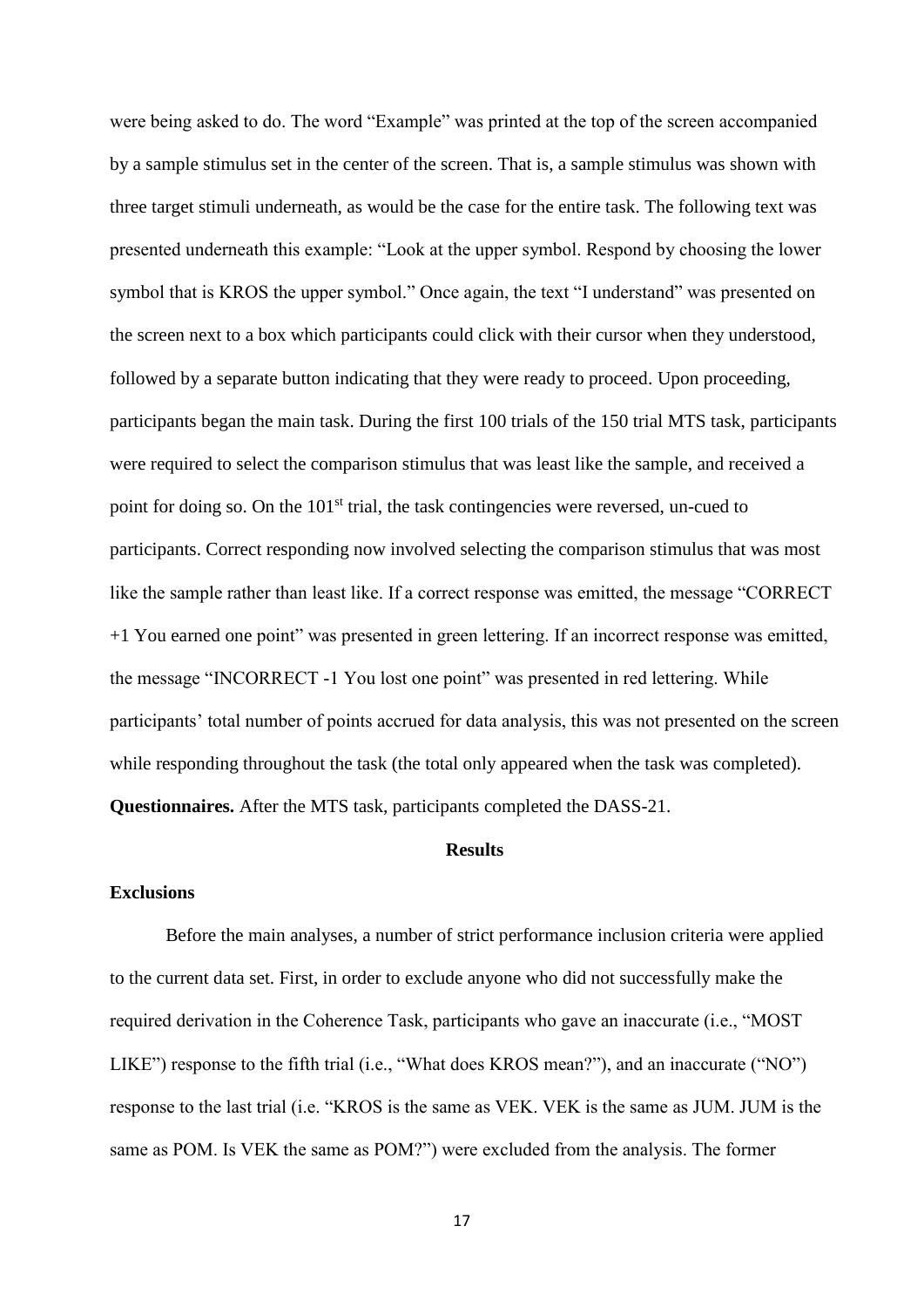were being asked to do. The word "Example" was printed at the top of the screen accompanied by a sample stimulus set in the center of the screen. That is, a sample stimulus was shown with three target stimuli underneath, as would be the case for the entire task. The following text was presented underneath this example: "Look at the upper symbol. Respond by choosing the lower symbol that is KROS the upper symbol." Once again, the text "I understand" was presented on the screen next to a box which participants could click with their cursor when they understood, followed by a separate button indicating that they were ready to proceed. Upon proceeding, participants began the main task. During the first 100 trials of the 150 trial MTS task, participants were required to select the comparison stimulus that was least like the sample, and received a point for doing so. On the 101<sup>st</sup> trial, the task contingencies were reversed, un-cued to participants. Correct responding now involved selecting the comparison stimulus that was most like the sample rather than least like. If a correct response was emitted, the message "CORRECT +1 You earned one point" was presented in green lettering. If an incorrect response was emitted, the message "INCORRECT -1 You lost one point" was presented in red lettering. While participants' total number of points accrued for data analysis, this was not presented on the screen while responding throughout the task (the total only appeared when the task was completed). **Questionnaires.** After the MTS task, participants completed the DASS-21.

# **Results**

#### **Exclusions**

Before the main analyses, a number of strict performance inclusion criteria were applied to the current data set. First, in order to exclude anyone who did not successfully make the required derivation in the Coherence Task, participants who gave an inaccurate (i.e., "MOST LIKE") response to the fifth trial (i.e., "What does KROS mean?"), and an inaccurate ("NO") response to the last trial (i.e. "KROS is the same as VEK. VEK is the same as JUM. JUM is the same as POM. Is VEK the same as POM?") were excluded from the analysis. The former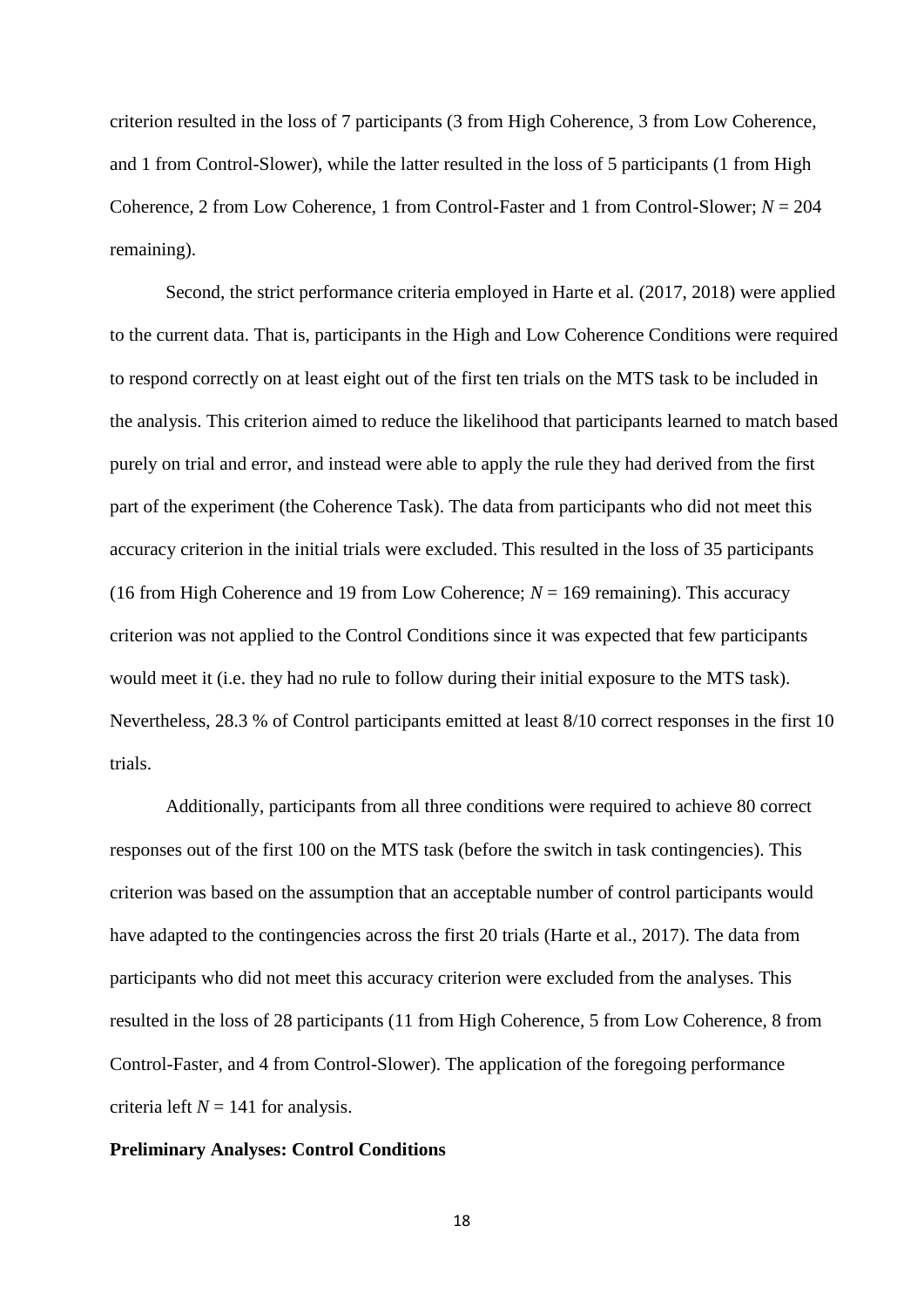criterion resulted in the loss of 7 participants (3 from High Coherence, 3 from Low Coherence, and 1 from Control-Slower), while the latter resulted in the loss of 5 participants (1 from High Coherence, 2 from Low Coherence, 1 from Control-Faster and 1 from Control-Slower; *N* = 204 remaining).

Second, the strict performance criteria employed in Harte et al. (2017, 2018) were applied to the current data. That is, participants in the High and Low Coherence Conditions were required to respond correctly on at least eight out of the first ten trials on the MTS task to be included in the analysis. This criterion aimed to reduce the likelihood that participants learned to match based purely on trial and error, and instead were able to apply the rule they had derived from the first part of the experiment (the Coherence Task). The data from participants who did not meet this accuracy criterion in the initial trials were excluded. This resulted in the loss of 35 participants (16 from High Coherence and 19 from Low Coherence;  $N = 169$  remaining). This accuracy criterion was not applied to the Control Conditions since it was expected that few participants would meet it (i.e. they had no rule to follow during their initial exposure to the MTS task). Nevertheless, 28.3 % of Control participants emitted at least 8/10 correct responses in the first 10 trials.

Additionally, participants from all three conditions were required to achieve 80 correct responses out of the first 100 on the MTS task (before the switch in task contingencies). This criterion was based on the assumption that an acceptable number of control participants would have adapted to the contingencies across the first 20 trials (Harte et al., 2017). The data from participants who did not meet this accuracy criterion were excluded from the analyses. This resulted in the loss of 28 participants (11 from High Coherence, 5 from Low Coherence, 8 from Control-Faster, and 4 from Control-Slower). The application of the foregoing performance criteria left  $N = 141$  for analysis.

# **Preliminary Analyses: Control Conditions**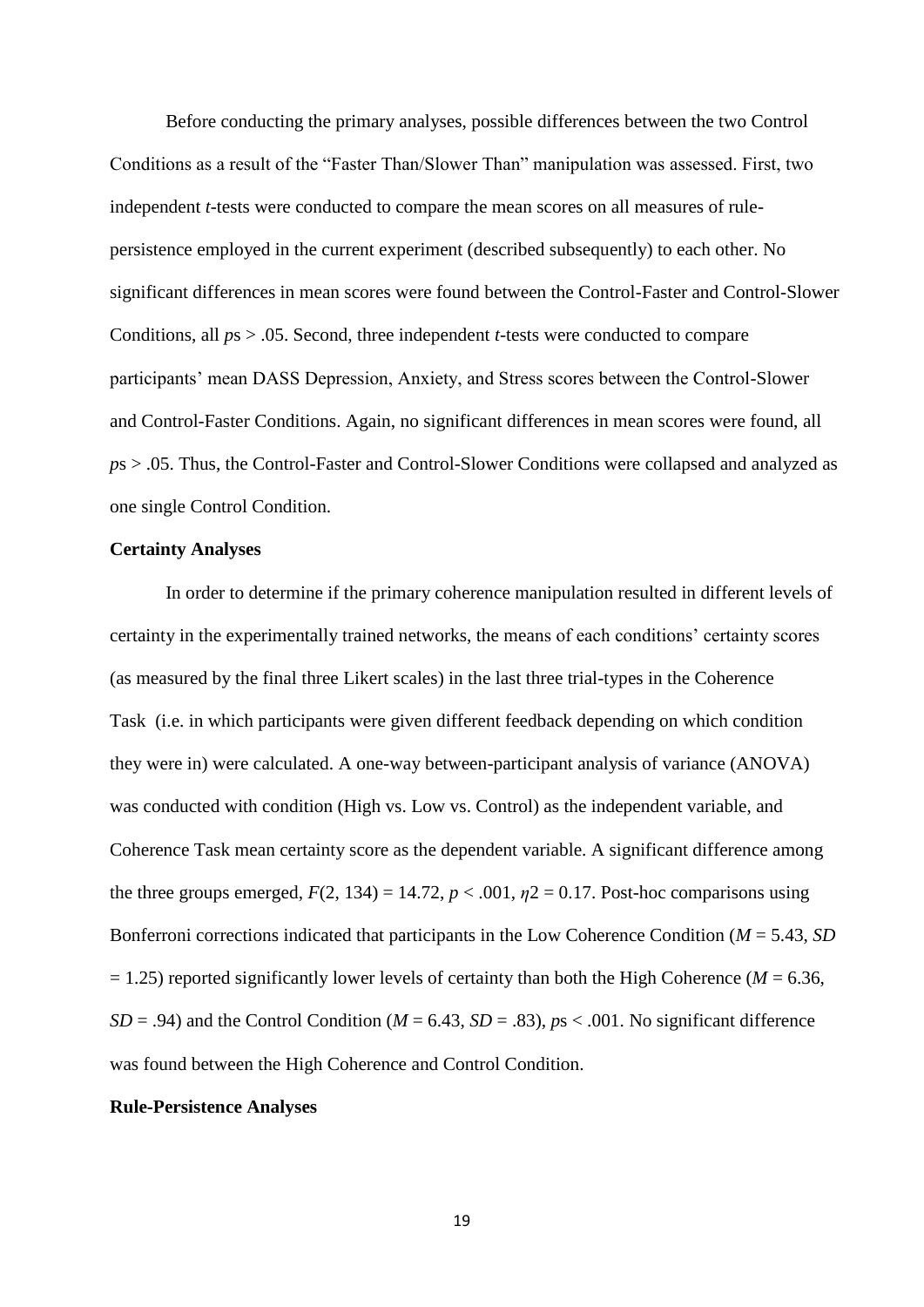Before conducting the primary analyses, possible differences between the two Control Conditions as a result of the "Faster Than/Slower Than" manipulation was assessed. First, two independent *t*-tests were conducted to compare the mean scores on all measures of rulepersistence employed in the current experiment (described subsequently) to each other. No significant differences in mean scores were found between the Control-Faster and Control-Slower Conditions, all *p*s > .05. Second, three independent *t*-tests were conducted to compare participants' mean DASS Depression, Anxiety, and Stress scores between the Control-Slower and Control-Faster Conditions. Again, no significant differences in mean scores were found, all *p*s > .05. Thus, the Control-Faster and Control-Slower Conditions were collapsed and analyzed as one single Control Condition.

## **Certainty Analyses**

In order to determine if the primary coherence manipulation resulted in different levels of certainty in the experimentally trained networks, the means of each conditions' certainty scores (as measured by the final three Likert scales) in the last three trial-types in the Coherence Task (i.e. in which participants were given different feedback depending on which condition they were in) were calculated. A one-way between-participant analysis of variance (ANOVA) was conducted with condition (High vs. Low vs. Control) as the independent variable, and Coherence Task mean certainty score as the dependent variable. A significant difference among the three groups emerged,  $F(2, 134) = 14.72$ ,  $p < .001$ ,  $p2 = 0.17$ . Post-hoc comparisons using Bonferroni corrections indicated that participants in the Low Coherence Condition (*M* = 5.43, *SD*   $= 1.25$ ) reported significantly lower levels of certainty than both the High Coherence (*M* = 6.36,  $SD = .94$ ) and the Control Condition ( $M = 6.43$ ,  $SD = .83$ ),  $ps < .001$ . No significant difference was found between the High Coherence and Control Condition.

## **Rule-Persistence Analyses**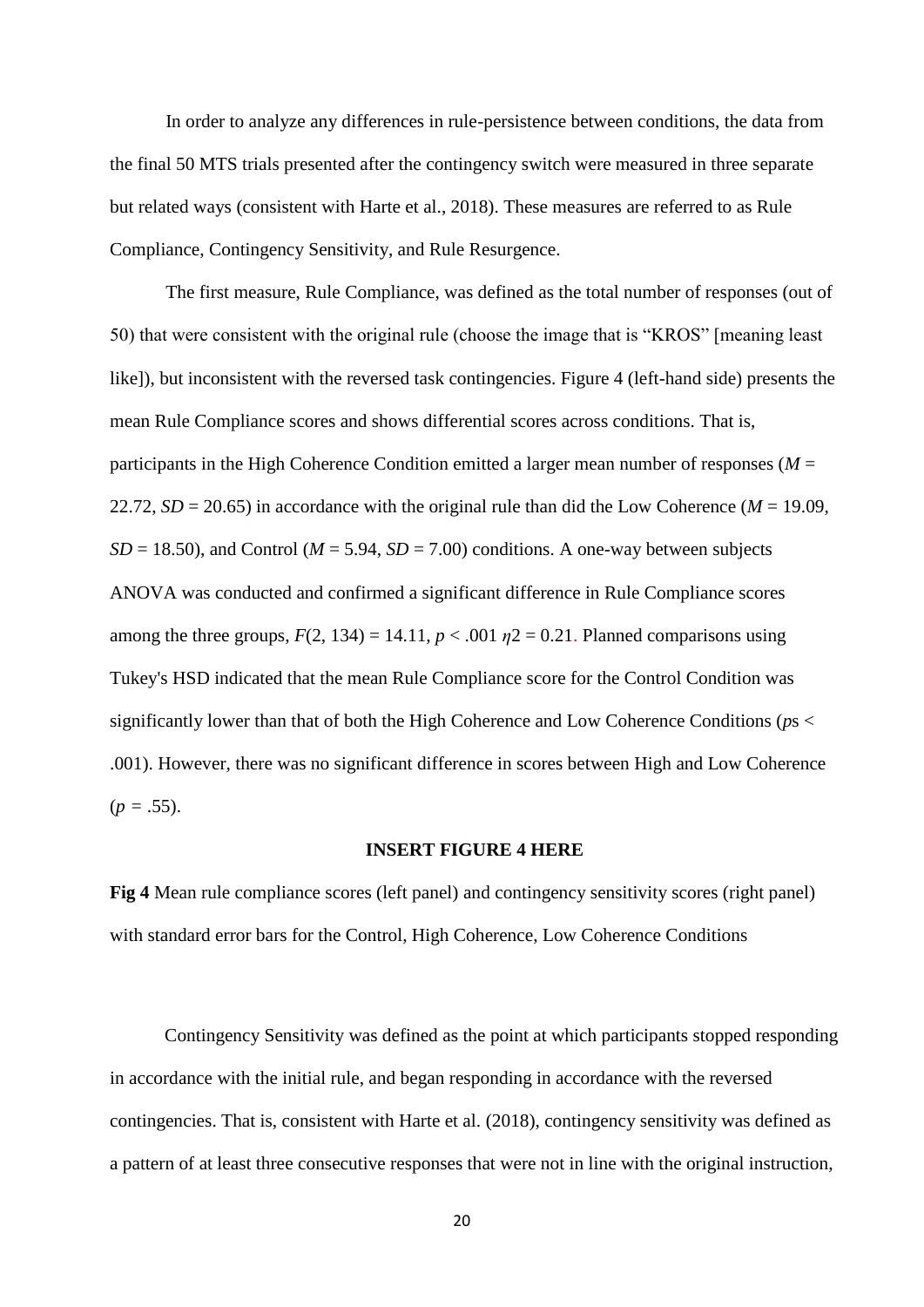In order to analyze any differences in rule-persistence between conditions, the data from the final 50 MTS trials presented after the contingency switch were measured in three separate but related ways (consistent with Harte et al., 2018). These measures are referred to as Rule Compliance, Contingency Sensitivity, and Rule Resurgence.

The first measure, Rule Compliance, was defined as the total number of responses (out of 50) that were consistent with the original rule (choose the image that is "KROS" [meaning least like]), but inconsistent with the reversed task contingencies. Figure 4 (left-hand side) presents the mean Rule Compliance scores and shows differential scores across conditions. That is, participants in the High Coherence Condition emitted a larger mean number of responses (*M* = 22.72,  $SD = 20.65$ ) in accordance with the original rule than did the Low Coherence ( $M = 19.09$ ,  $SD = 18.50$ , and Control ( $M = 5.94$ ,  $SD = 7.00$ ) conditions. A one-way between subjects ANOVA was conducted and confirmed a significant difference in Rule Compliance scores among the three groups,  $F(2, 134) = 14.11$ ,  $p < .001$   $p2 = 0.21$ . Planned comparisons using Tukey's HSD indicated that the mean Rule Compliance score for the Control Condition was significantly lower than that of both the High Coherence and Low Coherence Conditions (*p*s < .001). However, there was no significant difference in scores between High and Low Coherence  $(p = .55)$ .

## **INSERT FIGURE 4 HERE**

**Fig 4** Mean rule compliance scores (left panel) and contingency sensitivity scores (right panel) with standard error bars for the Control, High Coherence, Low Coherence Conditions

Contingency Sensitivity was defined as the point at which participants stopped responding in accordance with the initial rule, and began responding in accordance with the reversed contingencies. That is, consistent with Harte et al. (2018), contingency sensitivity was defined as a pattern of at least three consecutive responses that were not in line with the original instruction,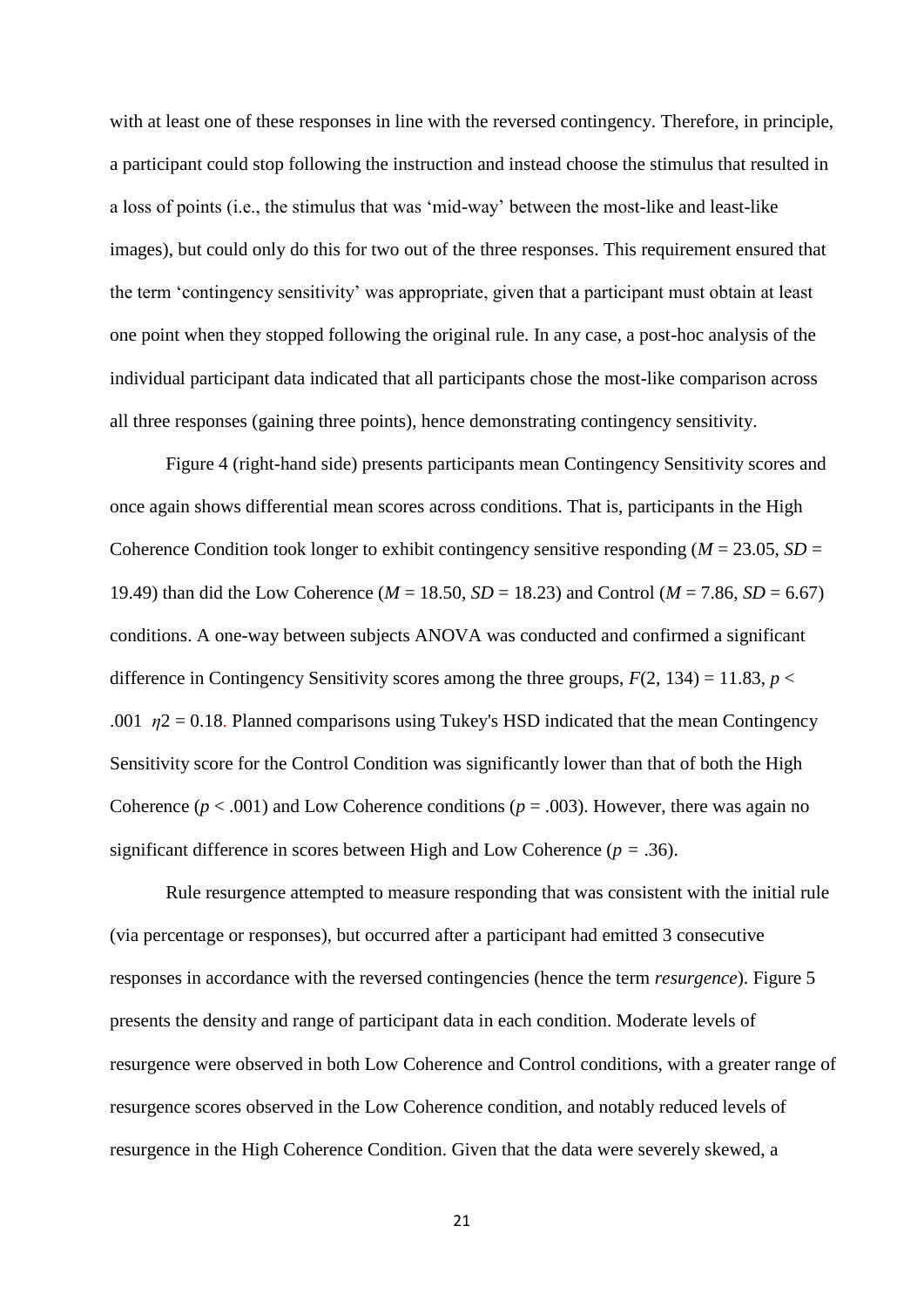with at least one of these responses in line with the reversed contingency. Therefore, in principle, a participant could stop following the instruction and instead choose the stimulus that resulted in a loss of points (i.e., the stimulus that was 'mid-way' between the most-like and least-like images), but could only do this for two out of the three responses. This requirement ensured that the term 'contingency sensitivity' was appropriate, given that a participant must obtain at least one point when they stopped following the original rule. In any case, a post-hoc analysis of the individual participant data indicated that all participants chose the most-like comparison across all three responses (gaining three points), hence demonstrating contingency sensitivity.

Figure 4 (right-hand side) presents participants mean Contingency Sensitivity scores and once again shows differential mean scores across conditions. That is, participants in the High Coherence Condition took longer to exhibit contingency sensitive responding ( $M = 23.05$ ,  $SD =$ 19.49) than did the Low Coherence ( $M = 18.50$ ,  $SD = 18.23$ ) and Control ( $M = 7.86$ ,  $SD = 6.67$ ) conditions. A one-way between subjects ANOVA was conducted and confirmed a significant difference in Contingency Sensitivity scores among the three groups,  $F(2, 134) = 11.83$ ,  $p <$ .001  $\eta$ 2 = 0.18. Planned comparisons using Tukey's HSD indicated that the mean Contingency Sensitivity score for the Control Condition was significantly lower than that of both the High Coherence ( $p < .001$ ) and Low Coherence conditions ( $p = .003$ ). However, there was again no significant difference in scores between High and Low Coherence (*p =* .36).

Rule resurgence attempted to measure responding that was consistent with the initial rule (via percentage or responses), but occurred after a participant had emitted 3 consecutive responses in accordance with the reversed contingencies (hence the term *resurgence*). Figure 5 presents the density and range of participant data in each condition. Moderate levels of resurgence were observed in both Low Coherence and Control conditions, with a greater range of resurgence scores observed in the Low Coherence condition, and notably reduced levels of resurgence in the High Coherence Condition. Given that the data were severely skewed, a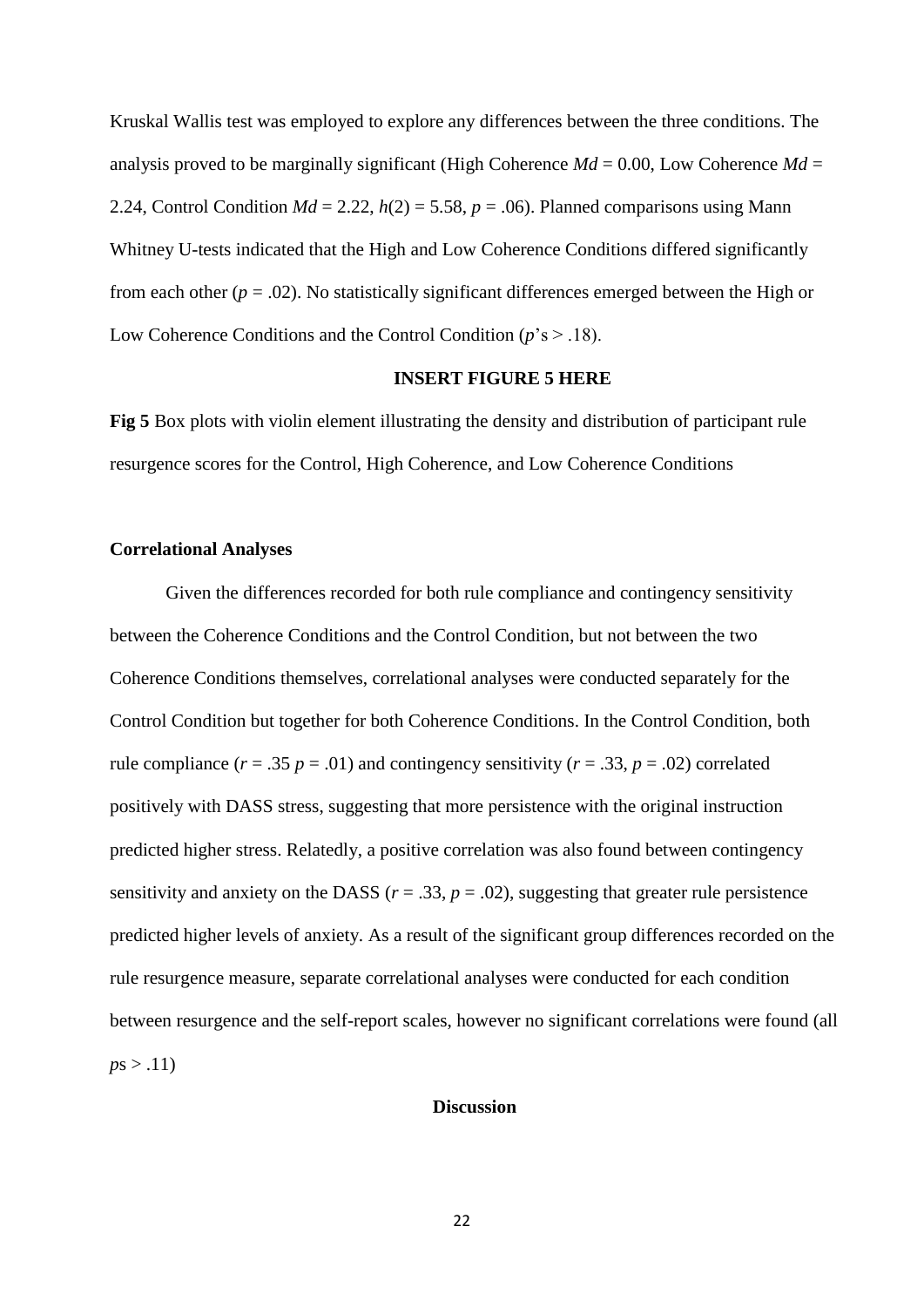Kruskal Wallis test was employed to explore any differences between the three conditions. The analysis proved to be marginally significant (High Coherence  $Md = 0.00$ , Low Coherence  $Md =$ 2.24, Control Condition  $Md = 2.22$ ,  $h(2) = 5.58$ ,  $p = .06$ ). Planned comparisons using Mann Whitney U-tests indicated that the High and Low Coherence Conditions differed significantly from each other  $(p = .02)$ . No statistically significant differences emerged between the High or Low Coherence Conditions and the Control Condition (*p*'s > .18).

# **INSERT FIGURE 5 HERE**

**Fig 5** Box plots with violin element illustrating the density and distribution of participant rule resurgence scores for the Control, High Coherence, and Low Coherence Conditions

### **Correlational Analyses**

Given the differences recorded for both rule compliance and contingency sensitivity between the Coherence Conditions and the Control Condition, but not between the two Coherence Conditions themselves, correlational analyses were conducted separately for the Control Condition but together for both Coherence Conditions. In the Control Condition, both rule compliance  $(r = .35 \, p = .01)$  and contingency sensitivity  $(r = .33, p = .02)$  correlated positively with DASS stress, suggesting that more persistence with the original instruction predicted higher stress. Relatedly, a positive correlation was also found between contingency sensitivity and anxiety on the DASS ( $r = .33$ ,  $p = .02$ ), suggesting that greater rule persistence predicted higher levels of anxiety. As a result of the significant group differences recorded on the rule resurgence measure, separate correlational analyses were conducted for each condition between resurgence and the self-report scales, however no significant correlations were found (all  $p s > .11$ 

# **Discussion**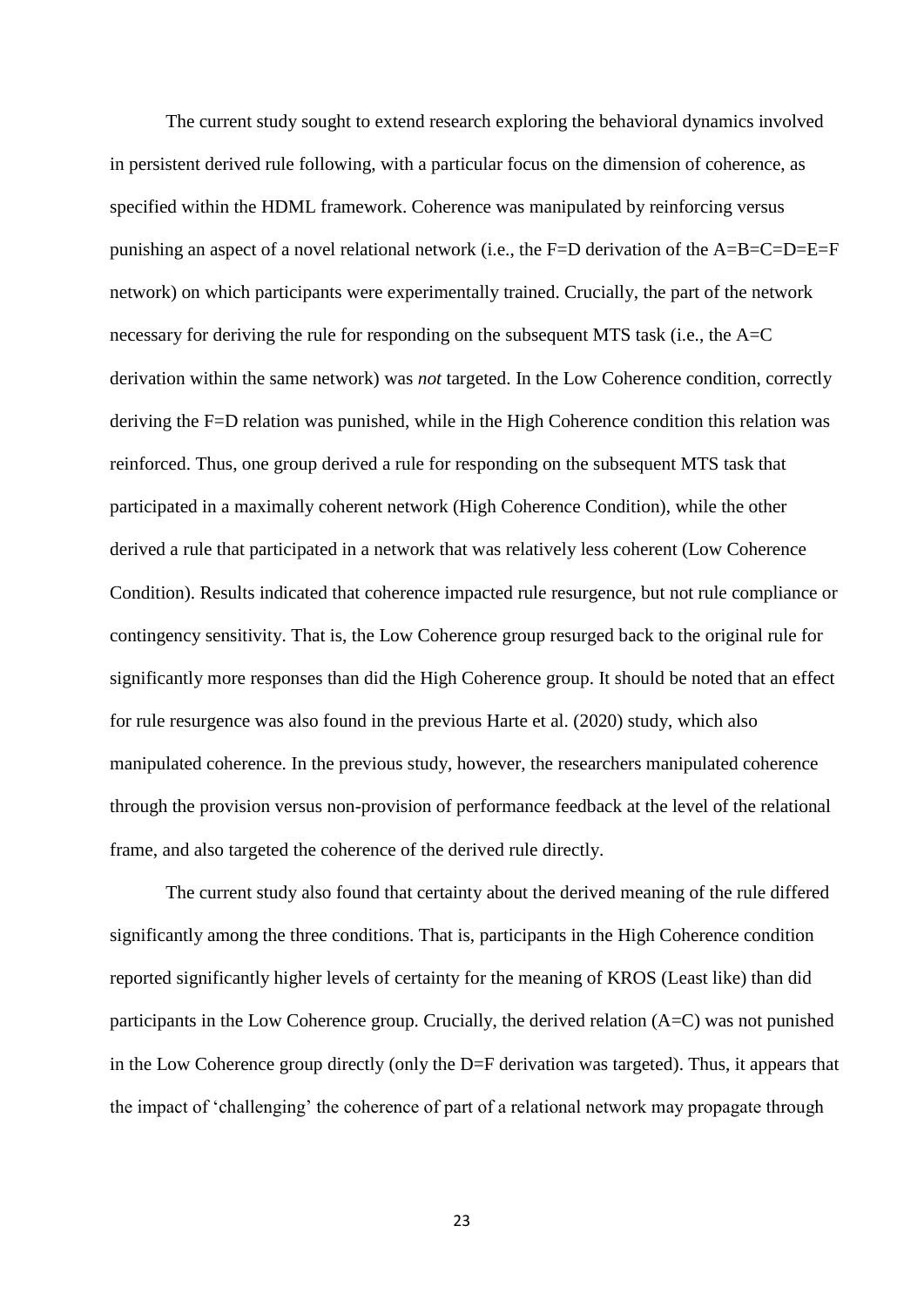The current study sought to extend research exploring the behavioral dynamics involved in persistent derived rule following, with a particular focus on the dimension of coherence, as specified within the HDML framework. Coherence was manipulated by reinforcing versus punishing an aspect of a novel relational network (i.e., the F=D derivation of the A=B=C=D=E=F network) on which participants were experimentally trained. Crucially, the part of the network necessary for deriving the rule for responding on the subsequent MTS task (i.e., the A=C derivation within the same network) was *not* targeted. In the Low Coherence condition, correctly deriving the F=D relation was punished, while in the High Coherence condition this relation was reinforced. Thus, one group derived a rule for responding on the subsequent MTS task that participated in a maximally coherent network (High Coherence Condition), while the other derived a rule that participated in a network that was relatively less coherent (Low Coherence Condition). Results indicated that coherence impacted rule resurgence, but not rule compliance or contingency sensitivity. That is, the Low Coherence group resurged back to the original rule for significantly more responses than did the High Coherence group. It should be noted that an effect for rule resurgence was also found in the previous Harte et al. (2020) study, which also manipulated coherence. In the previous study, however, the researchers manipulated coherence through the provision versus non-provision of performance feedback at the level of the relational frame, and also targeted the coherence of the derived rule directly.

The current study also found that certainty about the derived meaning of the rule differed significantly among the three conditions. That is, participants in the High Coherence condition reported significantly higher levels of certainty for the meaning of KROS (Least like) than did participants in the Low Coherence group. Crucially, the derived relation (A=C) was not punished in the Low Coherence group directly (only the D=F derivation was targeted). Thus, it appears that the impact of 'challenging' the coherence of part of a relational network may propagate through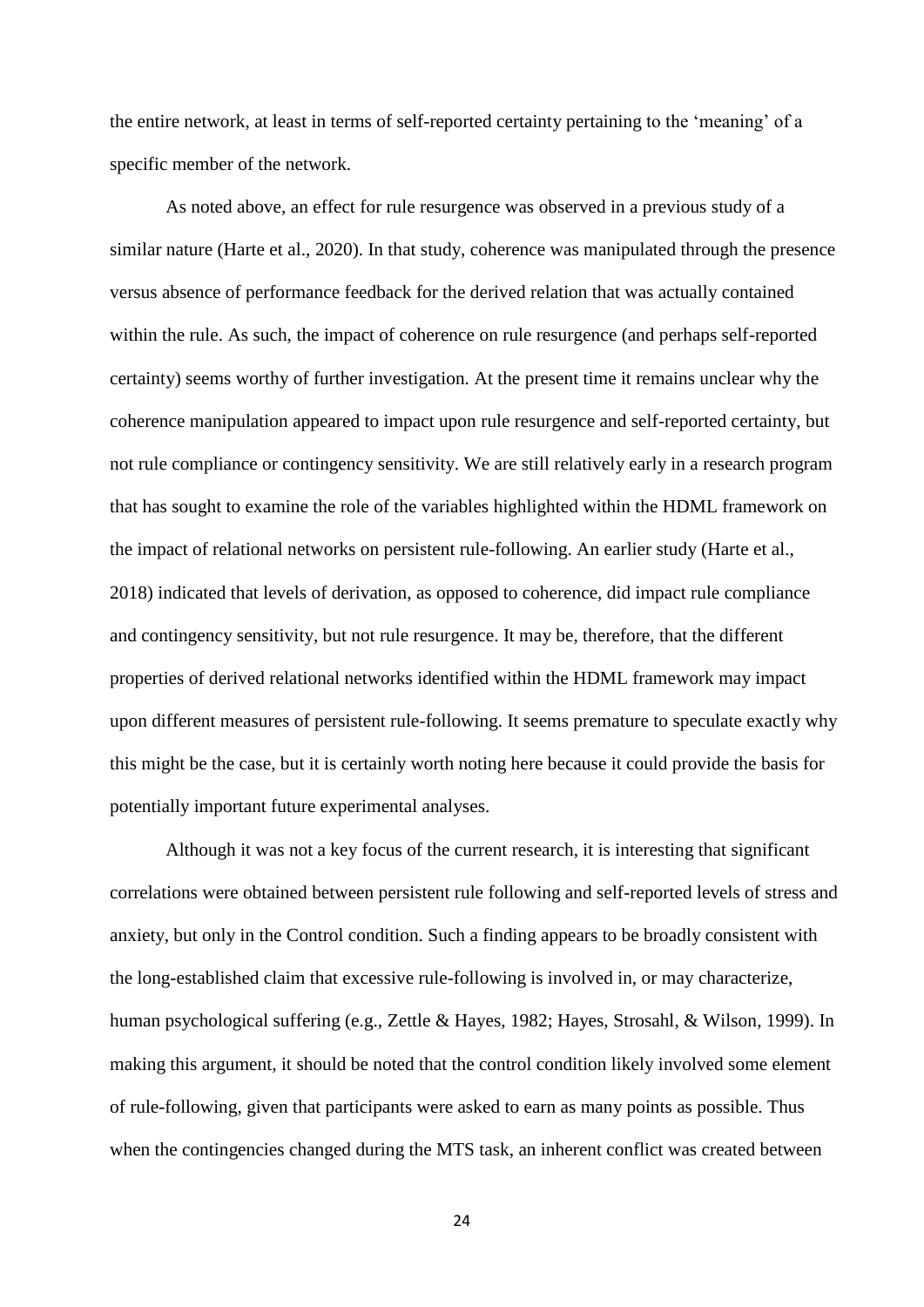the entire network, at least in terms of self-reported certainty pertaining to the 'meaning' of a specific member of the network.

As noted above, an effect for rule resurgence was observed in a previous study of a similar nature (Harte et al., 2020). In that study, coherence was manipulated through the presence versus absence of performance feedback for the derived relation that was actually contained within the rule. As such, the impact of coherence on rule resurgence (and perhaps self-reported certainty) seems worthy of further investigation. At the present time it remains unclear why the coherence manipulation appeared to impact upon rule resurgence and self-reported certainty, but not rule compliance or contingency sensitivity. We are still relatively early in a research program that has sought to examine the role of the variables highlighted within the HDML framework on the impact of relational networks on persistent rule-following. An earlier study (Harte et al., 2018) indicated that levels of derivation, as opposed to coherence, did impact rule compliance and contingency sensitivity, but not rule resurgence. It may be, therefore, that the different properties of derived relational networks identified within the HDML framework may impact upon different measures of persistent rule-following. It seems premature to speculate exactly why this might be the case, but it is certainly worth noting here because it could provide the basis for potentially important future experimental analyses.

Although it was not a key focus of the current research, it is interesting that significant correlations were obtained between persistent rule following and self-reported levels of stress and anxiety, but only in the Control condition. Such a finding appears to be broadly consistent with the long-established claim that excessive rule-following is involved in, or may characterize, human psychological suffering (e.g., Zettle & Hayes, 1982; Hayes, Strosahl, & Wilson, 1999). In making this argument, it should be noted that the control condition likely involved some element of rule-following, given that participants were asked to earn as many points as possible. Thus when the contingencies changed during the MTS task, an inherent conflict was created between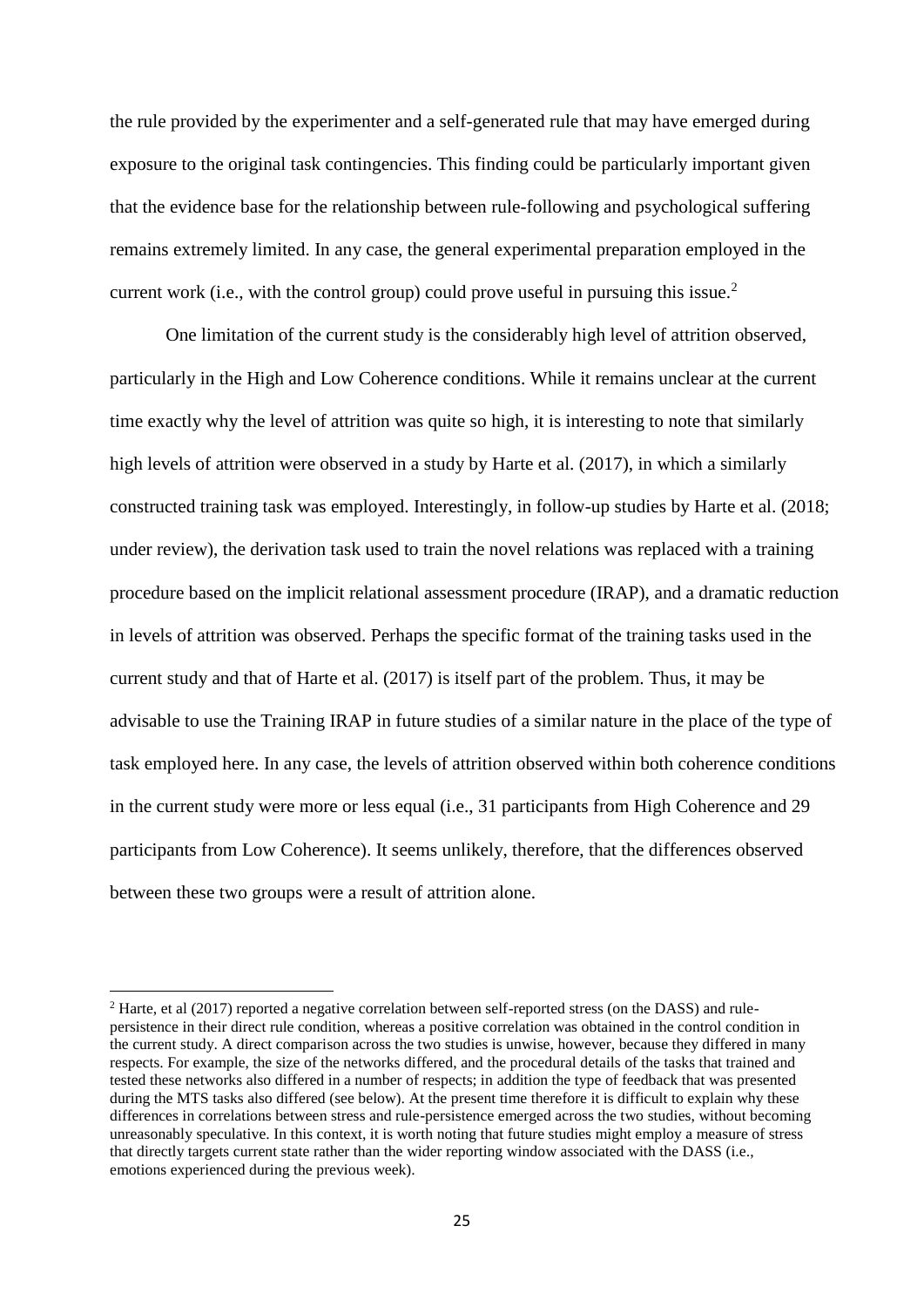the rule provided by the experimenter and a self-generated rule that may have emerged during exposure to the original task contingencies. This finding could be particularly important given that the evidence base for the relationship between rule-following and psychological suffering remains extremely limited. In any case, the general experimental preparation employed in the current work (i.e., with the control group) could prove useful in pursuing this issue.<sup>2</sup>

One limitation of the current study is the considerably high level of attrition observed, particularly in the High and Low Coherence conditions. While it remains unclear at the current time exactly why the level of attrition was quite so high, it is interesting to note that similarly high levels of attrition were observed in a study by Harte et al. (2017), in which a similarly constructed training task was employed. Interestingly, in follow-up studies by Harte et al. (2018; under review), the derivation task used to train the novel relations was replaced with a training procedure based on the implicit relational assessment procedure (IRAP), and a dramatic reduction in levels of attrition was observed. Perhaps the specific format of the training tasks used in the current study and that of Harte et al. (2017) is itself part of the problem. Thus, it may be advisable to use the Training IRAP in future studies of a similar nature in the place of the type of task employed here. In any case, the levels of attrition observed within both coherence conditions in the current study were more or less equal (i.e., 31 participants from High Coherence and 29 participants from Low Coherence). It seems unlikely, therefore, that the differences observed between these two groups were a result of attrition alone.

<sup>&</sup>lt;sup>2</sup> Harte, et al (2017) reported a negative correlation between self-reported stress (on the DASS) and rulepersistence in their direct rule condition, whereas a positive correlation was obtained in the control condition in the current study. A direct comparison across the two studies is unwise, however, because they differed in many respects. For example, the size of the networks differed, and the procedural details of the tasks that trained and tested these networks also differed in a number of respects; in addition the type of feedback that was presented during the MTS tasks also differed (see below). At the present time therefore it is difficult to explain why these differences in correlations between stress and rule-persistence emerged across the two studies, without becoming unreasonably speculative. In this context, it is worth noting that future studies might employ a measure of stress that directly targets current state rather than the wider reporting window associated with the DASS (i.e., emotions experienced during the previous week).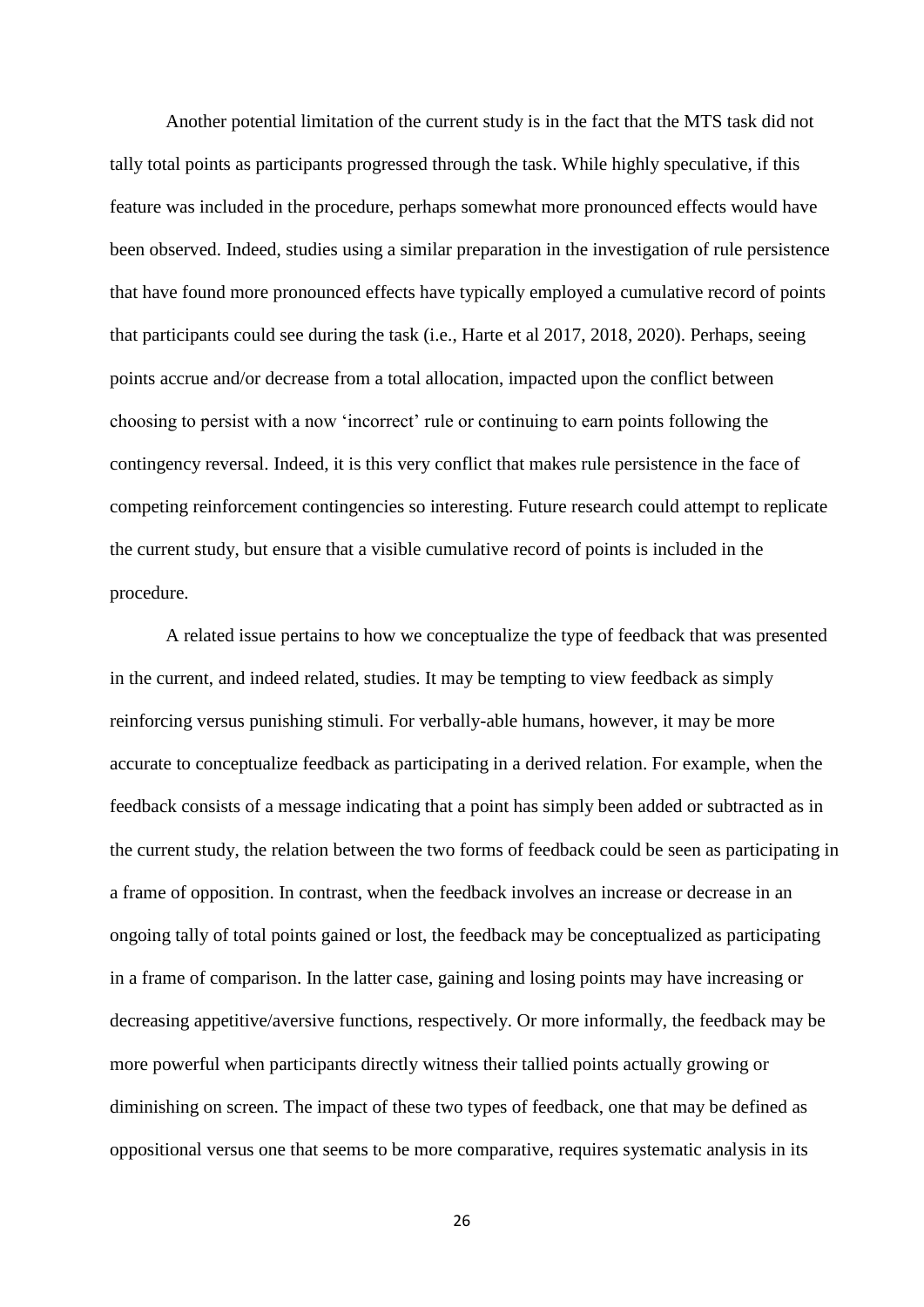Another potential limitation of the current study is in the fact that the MTS task did not tally total points as participants progressed through the task. While highly speculative, if this feature was included in the procedure, perhaps somewhat more pronounced effects would have been observed. Indeed, studies using a similar preparation in the investigation of rule persistence that have found more pronounced effects have typically employed a cumulative record of points that participants could see during the task (i.e., Harte et al 2017, 2018, 2020). Perhaps, seeing points accrue and/or decrease from a total allocation, impacted upon the conflict between choosing to persist with a now 'incorrect' rule or continuing to earn points following the contingency reversal. Indeed, it is this very conflict that makes rule persistence in the face of competing reinforcement contingencies so interesting. Future research could attempt to replicate the current study, but ensure that a visible cumulative record of points is included in the procedure.

A related issue pertains to how we conceptualize the type of feedback that was presented in the current, and indeed related, studies. It may be tempting to view feedback as simply reinforcing versus punishing stimuli. For verbally-able humans, however, it may be more accurate to conceptualize feedback as participating in a derived relation. For example, when the feedback consists of a message indicating that a point has simply been added or subtracted as in the current study, the relation between the two forms of feedback could be seen as participating in a frame of opposition. In contrast, when the feedback involves an increase or decrease in an ongoing tally of total points gained or lost, the feedback may be conceptualized as participating in a frame of comparison. In the latter case, gaining and losing points may have increasing or decreasing appetitive/aversive functions, respectively. Or more informally, the feedback may be more powerful when participants directly witness their tallied points actually growing or diminishing on screen. The impact of these two types of feedback, one that may be defined as oppositional versus one that seems to be more comparative, requires systematic analysis in its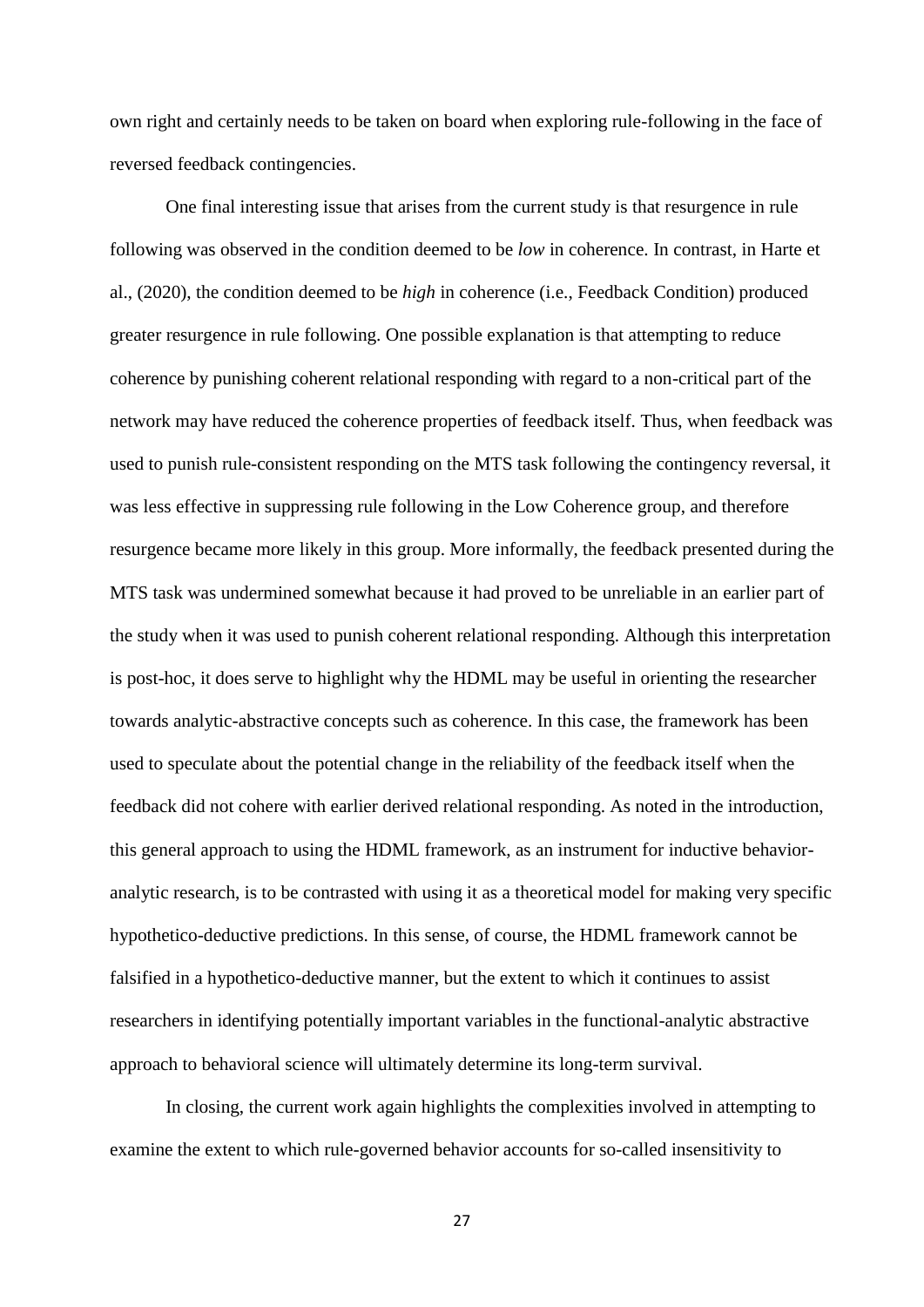own right and certainly needs to be taken on board when exploring rule-following in the face of reversed feedback contingencies.

One final interesting issue that arises from the current study is that resurgence in rule following was observed in the condition deemed to be *low* in coherence. In contrast, in Harte et al., (2020), the condition deemed to be *high* in coherence (i.e., Feedback Condition) produced greater resurgence in rule following. One possible explanation is that attempting to reduce coherence by punishing coherent relational responding with regard to a non-critical part of the network may have reduced the coherence properties of feedback itself. Thus, when feedback was used to punish rule-consistent responding on the MTS task following the contingency reversal, it was less effective in suppressing rule following in the Low Coherence group, and therefore resurgence became more likely in this group. More informally, the feedback presented during the MTS task was undermined somewhat because it had proved to be unreliable in an earlier part of the study when it was used to punish coherent relational responding. Although this interpretation is post-hoc, it does serve to highlight why the HDML may be useful in orienting the researcher towards analytic-abstractive concepts such as coherence. In this case, the framework has been used to speculate about the potential change in the reliability of the feedback itself when the feedback did not cohere with earlier derived relational responding. As noted in the introduction, this general approach to using the HDML framework, as an instrument for inductive behavioranalytic research, is to be contrasted with using it as a theoretical model for making very specific hypothetico-deductive predictions. In this sense, of course, the HDML framework cannot be falsified in a hypothetico-deductive manner, but the extent to which it continues to assist researchers in identifying potentially important variables in the functional-analytic abstractive approach to behavioral science will ultimately determine its long-term survival.

In closing, the current work again highlights the complexities involved in attempting to examine the extent to which rule-governed behavior accounts for so-called insensitivity to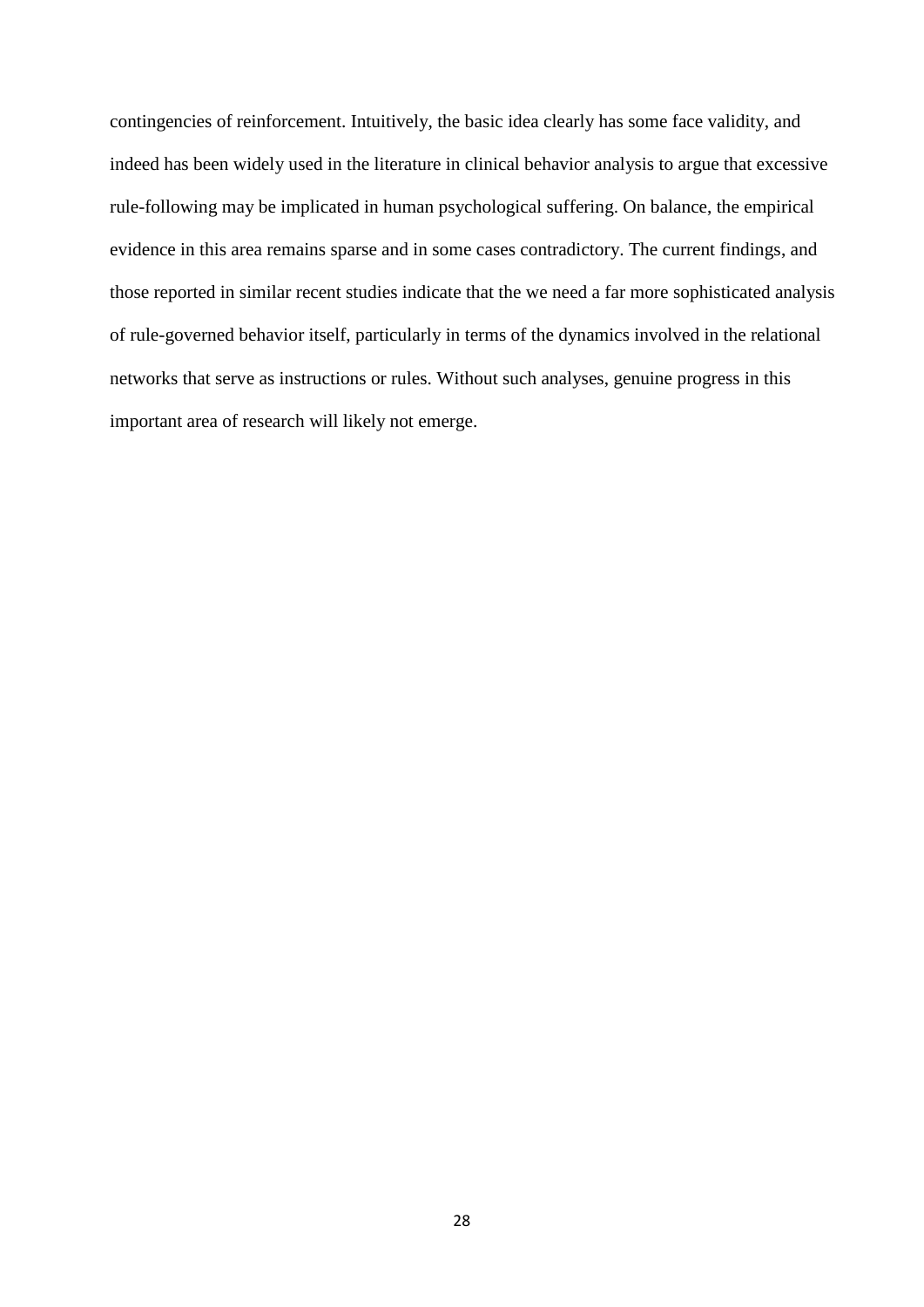contingencies of reinforcement. Intuitively, the basic idea clearly has some face validity, and indeed has been widely used in the literature in clinical behavior analysis to argue that excessive rule-following may be implicated in human psychological suffering. On balance, the empirical evidence in this area remains sparse and in some cases contradictory. The current findings, and those reported in similar recent studies indicate that the we need a far more sophisticated analysis of rule-governed behavior itself, particularly in terms of the dynamics involved in the relational networks that serve as instructions or rules. Without such analyses, genuine progress in this important area of research will likely not emerge.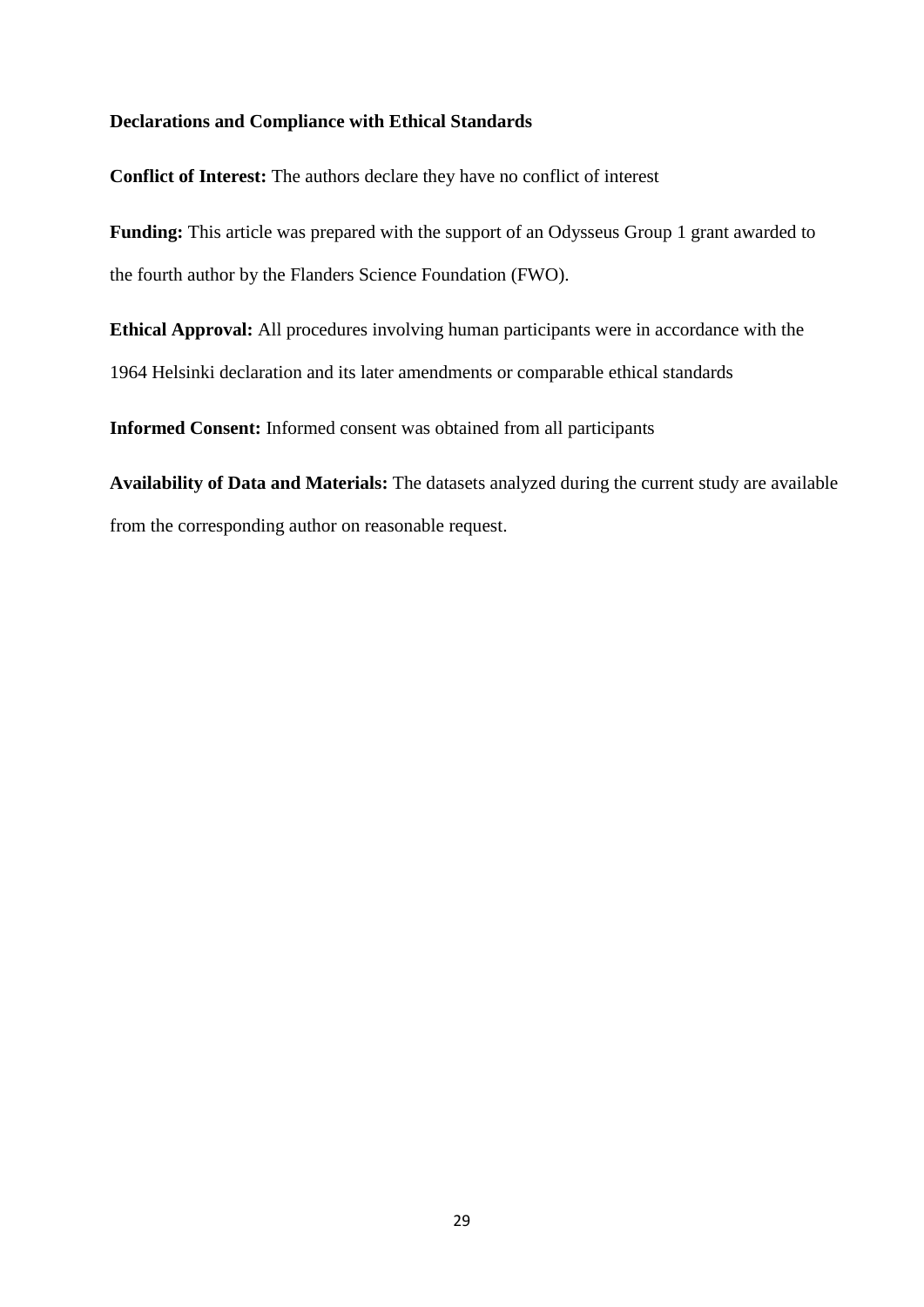# **Declarations and Compliance with Ethical Standards**

**Conflict of Interest:** The authors declare they have no conflict of interest

**Funding:** This article was prepared with the support of an Odysseus Group 1 grant awarded to the fourth author by the Flanders Science Foundation (FWO).

**Ethical Approval:** All procedures involving human participants were in accordance with the 1964 Helsinki declaration and its later amendments or comparable ethical standards

**Informed Consent:** Informed consent was obtained from all participants

**Availability of Data and Materials:** The datasets analyzed during the current study are available from the corresponding author on reasonable request.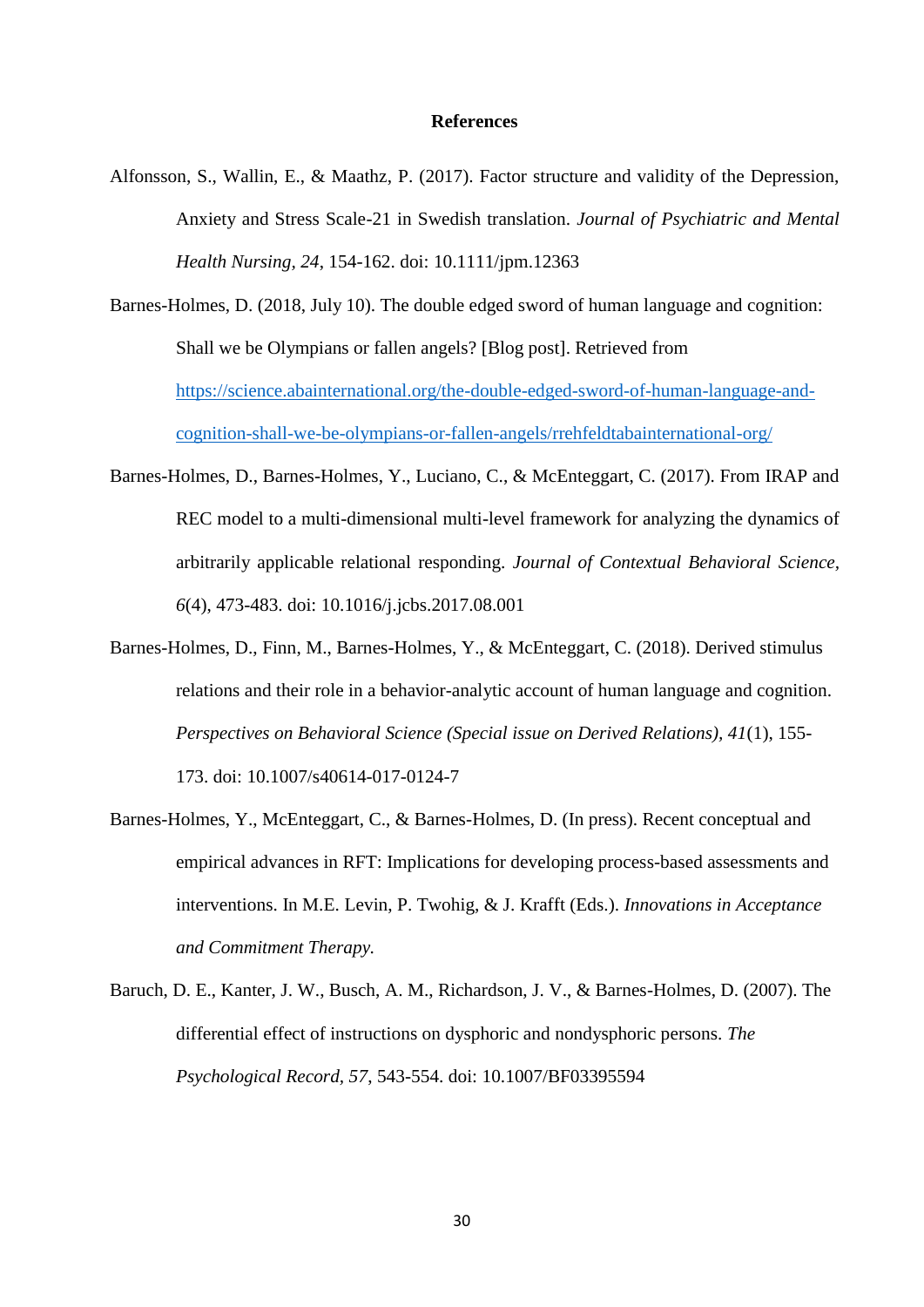## **References**

- Alfonsson, S., Wallin, E., & Maathz, P. (2017). Factor structure and validity of the Depression, Anxiety and Stress Scale-21 in Swedish translation. *Journal of Psychiatric and Mental Health Nursing, 24*, 154-162. doi: 10.1111/jpm.12363
- Barnes-Holmes, D. (2018, July 10). The double edged sword of human language and cognition: Shall we be Olympians or fallen angels? [Blog post]. Retrieved from [https://science.abainternational.org/the-double-edged-sword-of-human-language-and](https://science.abainternational.org/the-double-edged-sword-of-human-language-and-cognition-shall-we-be-olympians-or-fallen-angels/rrehfeldtabainternational-org/)[cognition-shall-we-be-olympians-or-fallen-angels/rrehfeldtabainternational-org/](https://science.abainternational.org/the-double-edged-sword-of-human-language-and-cognition-shall-we-be-olympians-or-fallen-angels/rrehfeldtabainternational-org/)
- Barnes-Holmes, D., Barnes-Holmes, Y., Luciano, C., & McEnteggart, C. (2017). From IRAP and REC model to a multi-dimensional multi-level framework for analyzing the dynamics of arbitrarily applicable relational responding. *Journal of Contextual Behavioral Science, 6*(4), 473-483. doi: 10.1016/j.jcbs.2017.08.001
- Barnes-Holmes, D., Finn, M., Barnes-Holmes, Y., & McEnteggart, C. (2018). Derived stimulus relations and their role in a behavior-analytic account of human language and cognition. *Perspectives on Behavioral Science (Special issue on Derived Relations), 41*(1), 155- 173. doi: 10.1007/s40614-017-0124-7
- Barnes-Holmes, Y., McEnteggart, C., & Barnes-Holmes, D. (In press). Recent conceptual and empirical advances in RFT: Implications for developing process-based assessments and interventions. In M.E. Levin, P. Twohig, & J. Krafft (Eds.). *Innovations in Acceptance and Commitment Therapy.*
- Baruch, D. E., Kanter, J. W., Busch, A. M., Richardson, J. V., & Barnes-Holmes, D. (2007). The differential effect of instructions on dysphoric and nondysphoric persons. *The Psychological Record, 57*, 543-554. doi: 10.1007/BF03395594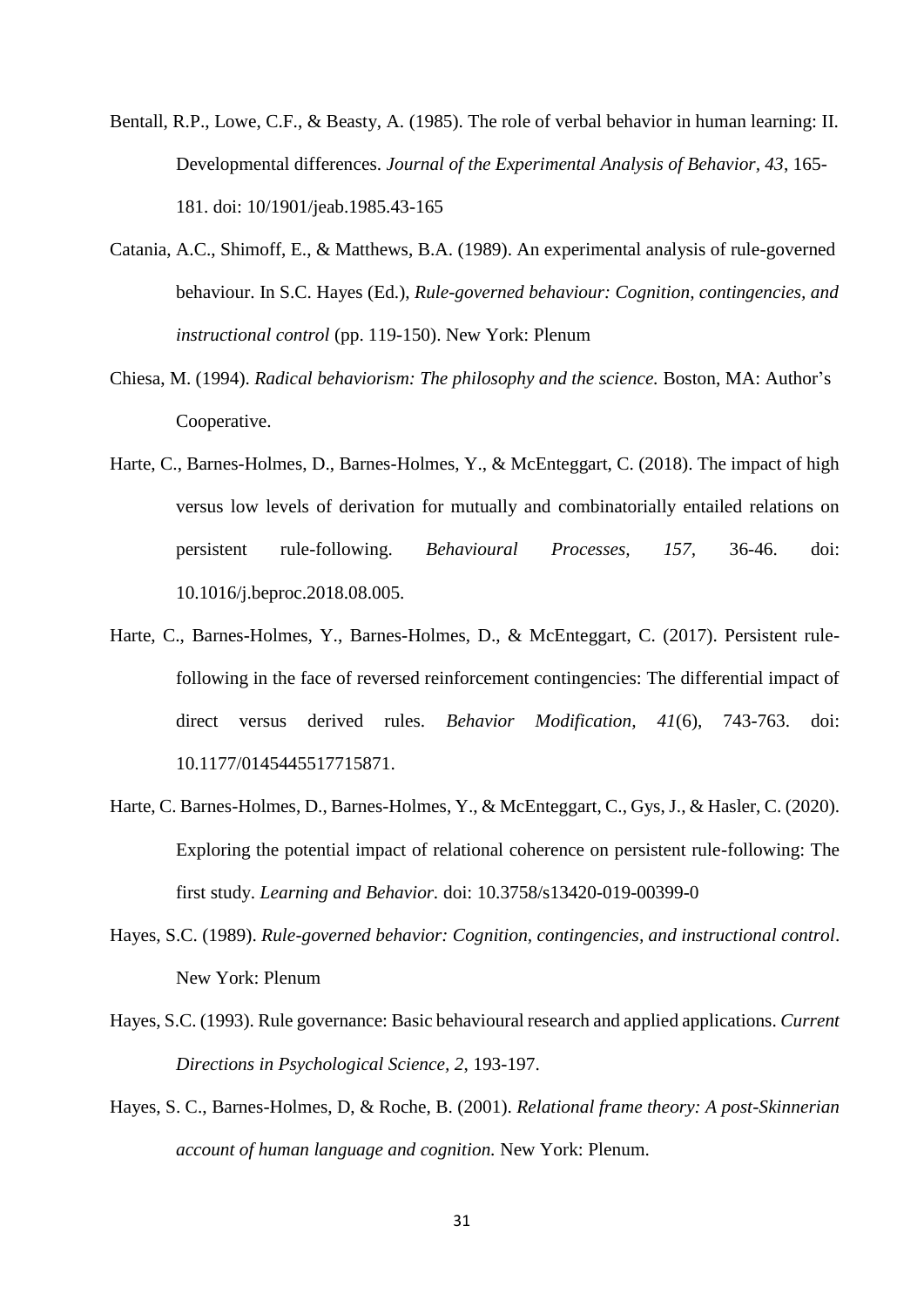- Bentall, R.P., Lowe, C.F., & Beasty, A. (1985). The role of verbal behavior in human learning: II. Developmental differences. *Journal of the Experimental Analysis of Behavior, 43*, 165- 181. doi: 10/1901/jeab.1985.43-165
- Catania, A.C., Shimoff, E., & Matthews, B.A. (1989). An experimental analysis of rule-governed behaviour. In S.C. Hayes (Ed.), *Rule-governed behaviour: Cognition, contingencies, and instructional control* (pp. 119-150). New York: Plenum
- Chiesa, M. (1994). *Radical behaviorism: The philosophy and the science.* Boston, MA: Author's Cooperative.
- Harte, C., Barnes-Holmes, D., Barnes-Holmes, Y., & McEnteggart, C. (2018). The impact of high versus low levels of derivation for mutually and combinatorially entailed relations on persistent rule-following. *Behavioural Processes, 157,* 36-46. doi: 10.1016/j.beproc.2018.08.005.
- Harte, C., Barnes-Holmes, Y., Barnes-Holmes, D., & McEnteggart, C. (2017). Persistent rulefollowing in the face of reversed reinforcement contingencies: The differential impact of direct versus derived rules. *Behavior Modification, 41*(6), 743-763. doi: 10.1177/0145445517715871.
- Harte, C. Barnes-Holmes, D., Barnes-Holmes, Y., & McEnteggart, C., Gys, J., & Hasler, C. (2020). Exploring the potential impact of relational coherence on persistent rule-following: The first study. *Learning and Behavior.* doi: 10.3758/s13420-019-00399-0
- Hayes, S.C. (1989). *Rule-governed behavior: Cognition, contingencies, and instructional control*. New York: Plenum
- Hayes, S.C. (1993). Rule governance: Basic behavioural research and applied applications. *Current Directions in Psychological Science, 2*, 193-197.
- Hayes, S. C., Barnes-Holmes, D, & Roche, B. (2001). *Relational frame theory: A post-Skinnerian account of human language and cognition.* New York: Plenum.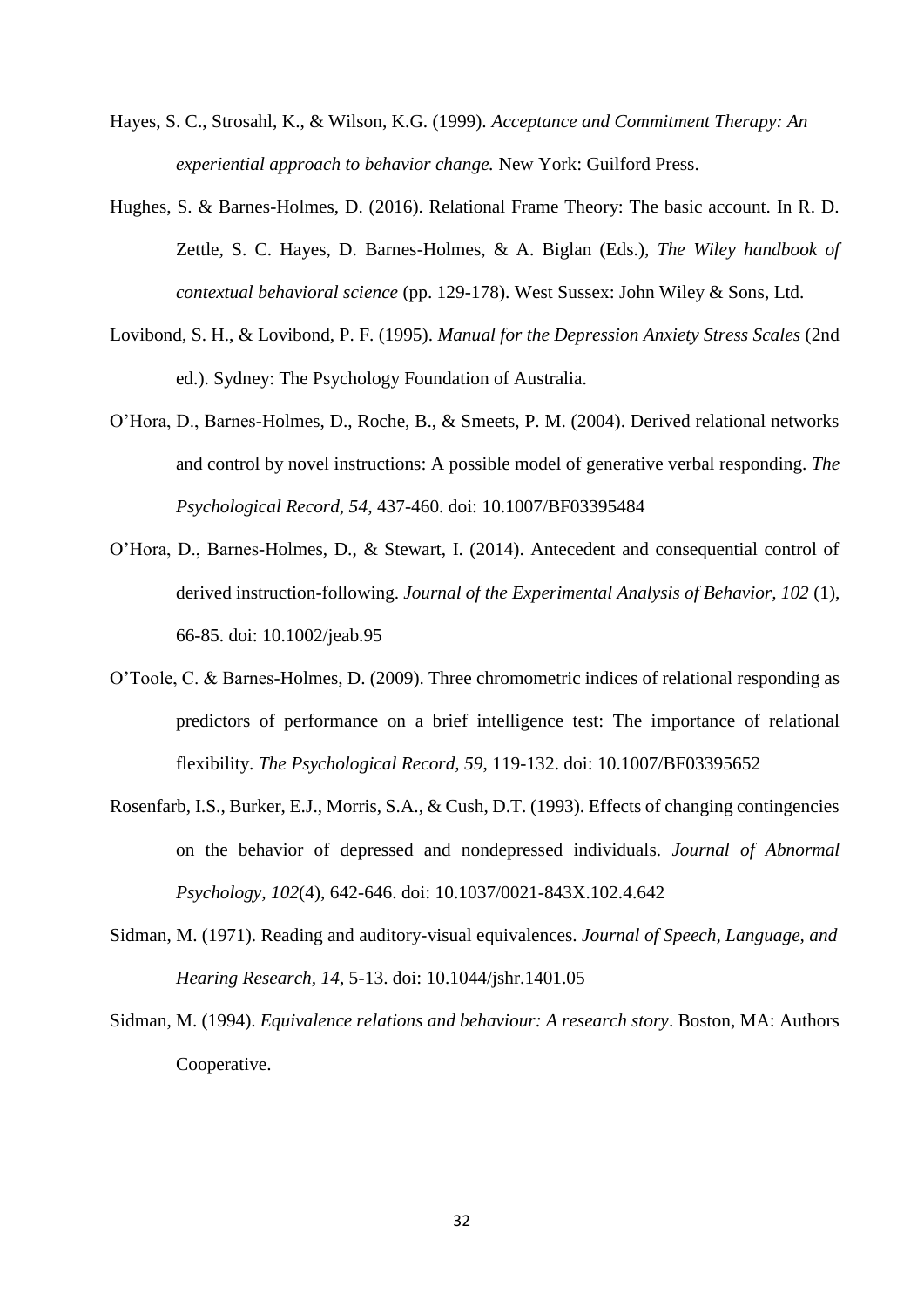- Hayes, S. C., Strosahl, K., & Wilson, K.G. (1999). *Acceptance and Commitment Therapy: An experiential approach to behavior change.* New York: Guilford Press.
- Hughes, S. & Barnes-Holmes, D. (2016). Relational Frame Theory: The basic account. In R. D. Zettle, S. C. Hayes, D. Barnes-Holmes, & A. Biglan (Eds.), *The Wiley handbook of contextual behavioral science* (pp. 129-178). West Sussex: John Wiley & Sons, Ltd.
- Lovibond, S. H., & Lovibond, P. F. (1995). *Manual for the Depression Anxiety Stress Scales* (2nd ed.). Sydney: The Psychology Foundation of Australia.
- O'Hora, D., Barnes-Holmes, D., Roche, B., & Smeets, P. M. (2004). Derived relational networks and control by novel instructions: A possible model of generative verbal responding. *The Psychological Record, 54*, 437-460. doi: 10.1007/BF03395484
- O'Hora, D., Barnes-Holmes, D., & Stewart, I. (2014). Antecedent and consequential control of derived instruction-following. *Journal of the Experimental Analysis of Behavior, 102* (1), 66-85. doi: 10.1002/jeab.95
- O'Toole, C. & Barnes-Holmes, D. (2009). Three chromometric indices of relational responding as predictors of performance on a brief intelligence test: The importance of relational flexibility. *The Psychological Record, 59*, 119-132. doi: 10.1007/BF03395652
- Rosenfarb, I.S., Burker, E.J., Morris, S.A., & Cush, D.T. (1993). Effects of changing contingencies on the behavior of depressed and nondepressed individuals. *Journal of Abnormal Psychology, 102*(4), 642-646. doi: 10.1037/0021-843X.102.4.642
- Sidman, M. (1971). Reading and auditory-visual equivalences. *Journal of Speech, Language, and Hearing Research, 14*, 5-13. doi: 10.1044/jshr.1401.05
- Sidman, M. (1994). *Equivalence relations and behaviour: A research story*. Boston, MA: Authors Cooperative.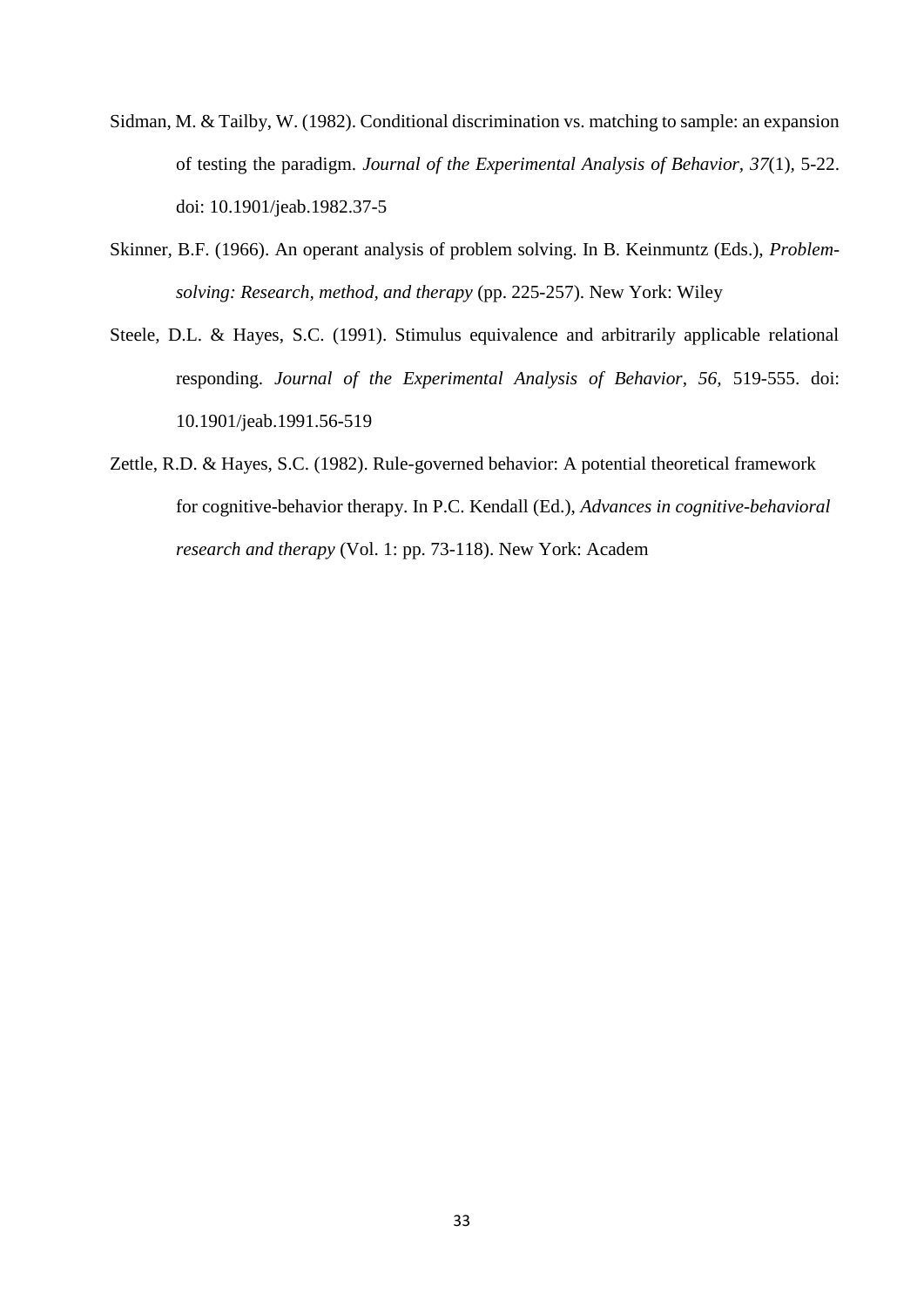- Sidman, M. & Tailby, W. (1982). Conditional discrimination vs. matching to sample: an expansion of testing the paradigm. *Journal of the Experimental Analysis of Behavior, 37*(1)*,* 5-22. doi: 10.1901/jeab.1982.37-5
- Skinner, B.F. (1966). An operant analysis of problem solving. In B. Keinmuntz (Eds.), *Problemsolving: Research, method, and therapy* (pp. 225-257). New York: Wiley
- Steele, D.L. & Hayes, S.C. (1991). Stimulus equivalence and arbitrarily applicable relational responding. *Journal of the Experimental Analysis of Behavior, 56,* 519-555. doi: 10.1901/jeab.1991.56-519
- Zettle, R.D. & Hayes, S.C. (1982). Rule-governed behavior: A potential theoretical framework for cognitive-behavior therapy. In P.C. Kendall (Ed.), *Advances in cognitive-behavioral research and therapy* (Vol. 1: pp. 73-118). New York: Academ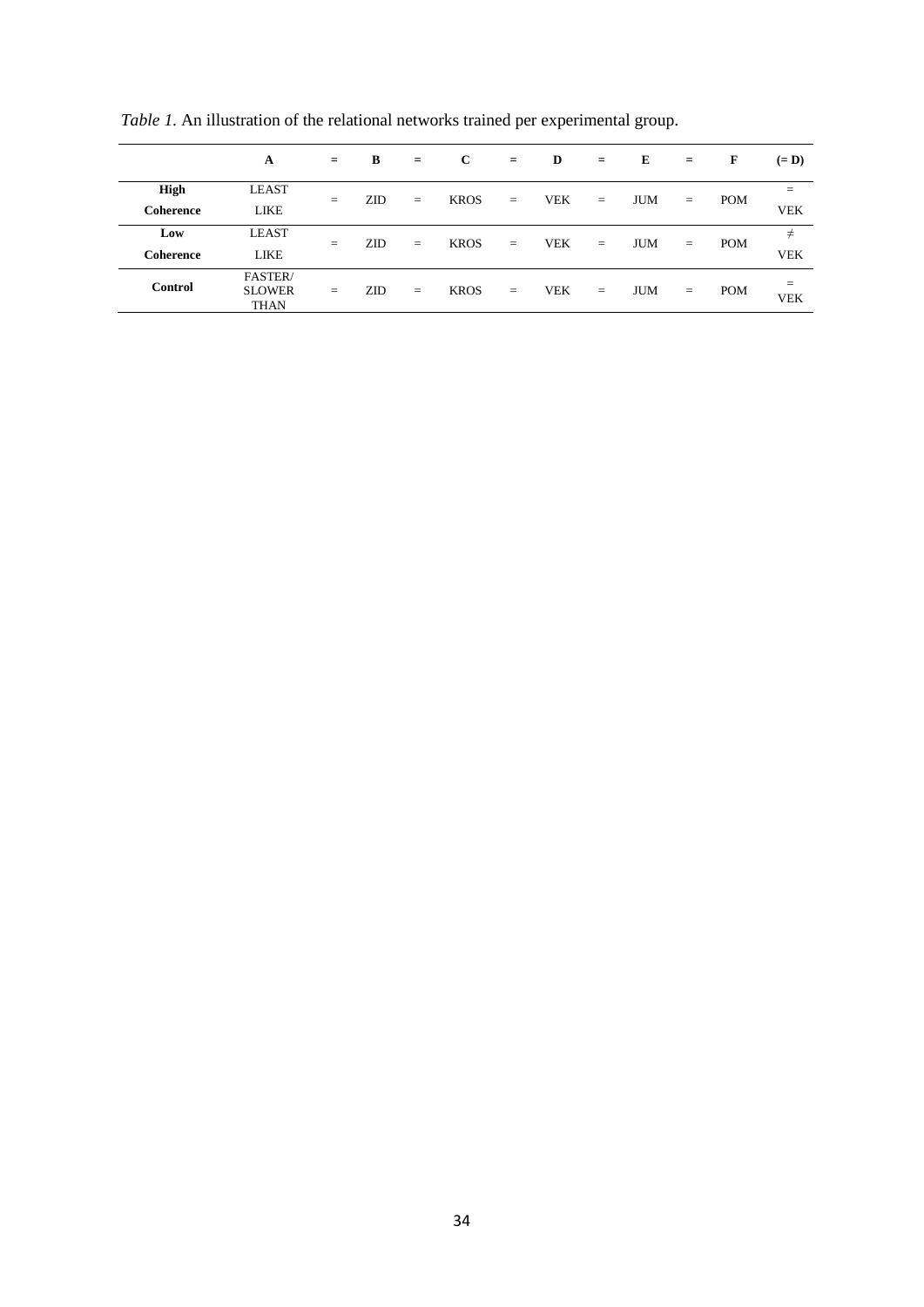|                | A                                       | $=$ | B          | $=$ | $\mathbf{C}$ | $=$ | D          | $=$ | E          | $=$ | F          | $(= D)$           |
|----------------|-----------------------------------------|-----|------------|-----|--------------|-----|------------|-----|------------|-----|------------|-------------------|
| <b>High</b>    | <b>LEAST</b>                            | $=$ | <b>ZID</b> | $=$ | <b>KROS</b>  | $=$ | <b>VEK</b> | $=$ | <b>JUM</b> | $=$ | <b>POM</b> | $=$               |
| Coherence      | LIKE                                    |     |            |     |              |     |            |     |            |     |            | <b>VEK</b>        |
| Low            | <b>LEAST</b>                            | $=$ | ZID        | $=$ | <b>KROS</b>  | $=$ | <b>VEK</b> | $=$ | <b>JUM</b> | $=$ | <b>POM</b> | $\neq$            |
| Coherence      | LIKE                                    |     |            |     |              |     |            |     |            |     |            | <b>VEK</b>        |
| <b>Control</b> | FASTER/<br><b>SLOWER</b><br><b>THAN</b> | $=$ | <b>ZID</b> | $=$ | <b>KROS</b>  | $=$ | VEK        | $=$ | <b>JUM</b> | $=$ | <b>POM</b> | $=$<br><b>VEK</b> |

*Table 1*. An illustration of the relational networks trained per experimental group.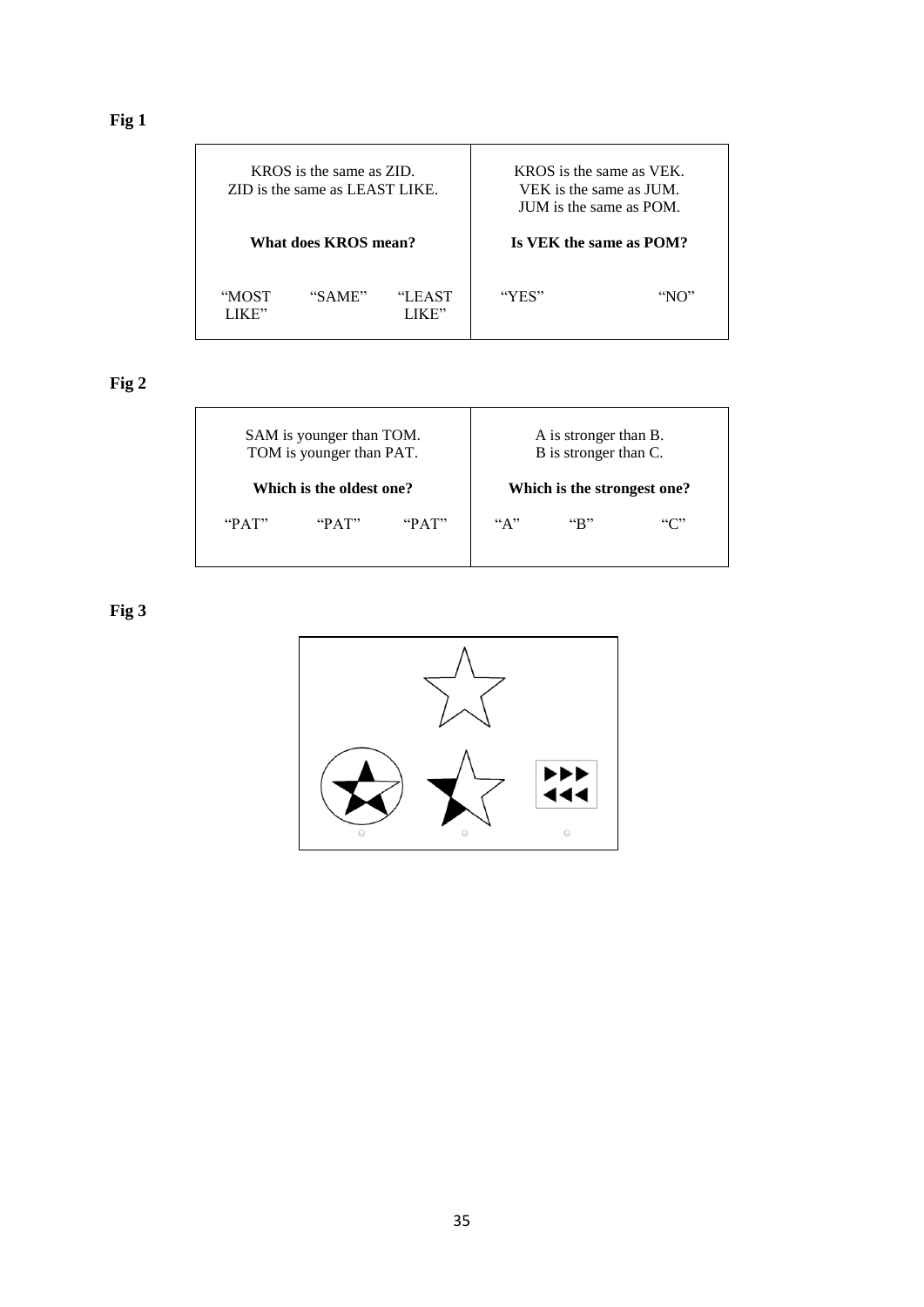|               | KROS is the same as ZID.<br>ZID is the same as LEAST LIKE. |                 | KROS is the same as VEK.<br>VEK is the same as JUM.<br>IUM is the same as POM. |                         |  |  |
|---------------|------------------------------------------------------------|-----------------|--------------------------------------------------------------------------------|-------------------------|--|--|
|               | What does KROS mean?                                       |                 |                                                                                | Is VEK the same as POM? |  |  |
| "MOST<br>IKE" | "SAME"                                                     | "LEAST<br>JK E" | "YES"                                                                          | "NO"                    |  |  |

**Fig 2**

|               | SAM is younger than TOM.<br>TOM is younger than PAT. |      | A is stronger than B.<br>B is stronger than C. |                             |      |  |  |
|---------------|------------------------------------------------------|------|------------------------------------------------|-----------------------------|------|--|--|
|               | Which is the oldest one?                             |      |                                                | Which is the strongest one? |      |  |  |
| $P^{\alpha}A$ | $\mathbf{P} \mathbf{A}$                              | PAT" | ``A"                                           | $\mathbf{R}^n$              | ``C" |  |  |
|               |                                                      |      |                                                |                             |      |  |  |

**Fig 3**